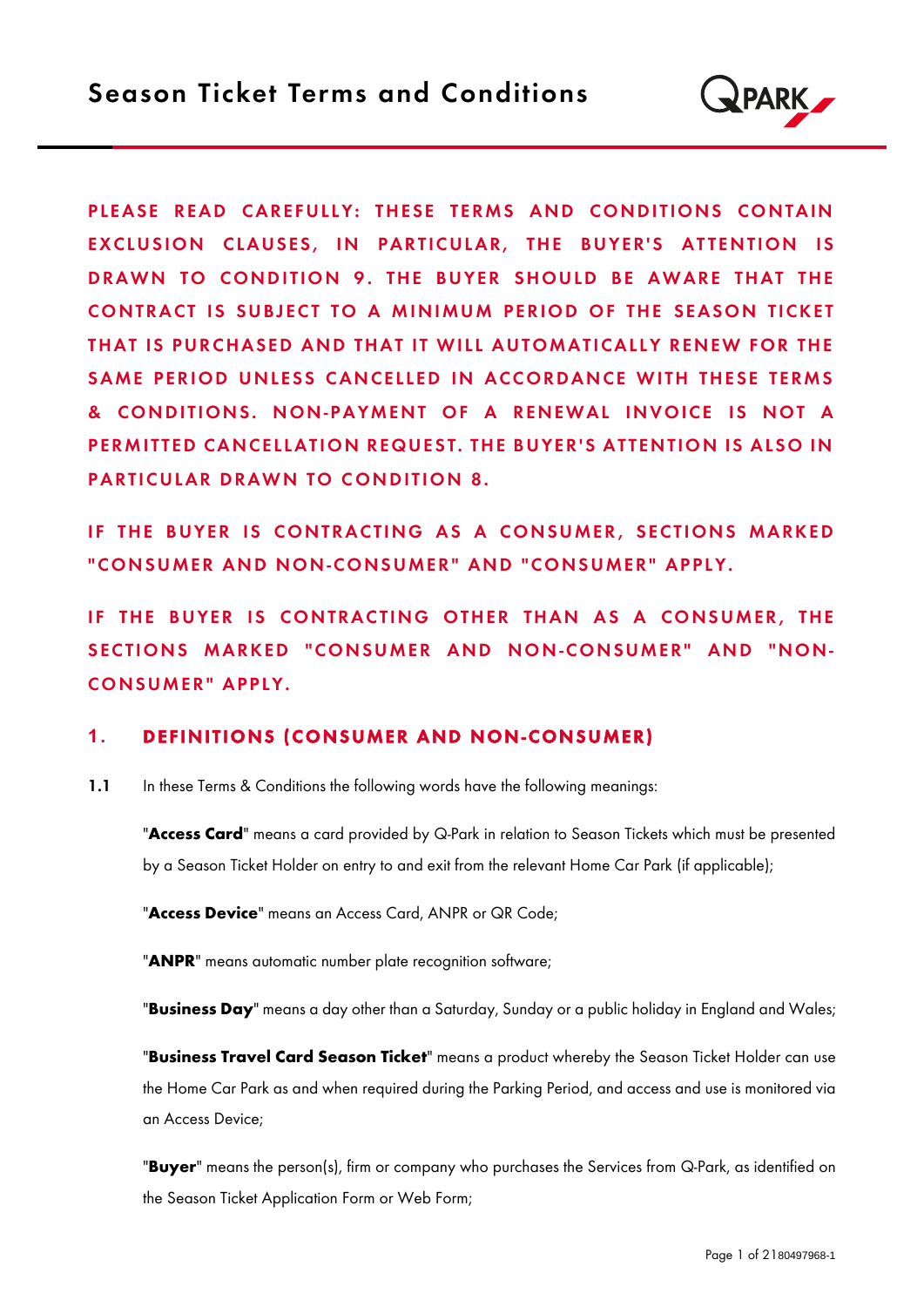

PLEASE READ CAREFULLY: THESE TERMS AND CONDITIONS CONTAIN EXCLUSION CLAUSES, IN PARTICULAR, THE BUYER'S ATTENTION IS DRAWN TO CONDITION 9. THE BUYER SHOULD BE AWARE THAT THE CONTRACT IS SUBJECT TO A MINIMUM PERIOD OF THE SEASON TICKET THAT IS PURCHASED AND THAT IT WILL AUTOMATICALLY RENEW FOR THE SAME PERIOD UNLESS CANCELLED IN ACCORDANCE WITH THESE TERMS & CONDITIONS. NON-PAYMENT OF A RENEWAL INVOICE IS NOT A PERMITTED CANCELLATION REQUEST. THE BUYER'S ATTENTION IS ALSO IN PARTICULAR DRAWN TO CONDITION 8.

IF THE BUYER IS CONTRACTING AS A CONSUMER, SECTIONS MARKED "CONSUMER AND NON-CONSUMER" AND "CONSUMER" APPLY.

IF THE BUYER IS CONTRACTING OTHER THAN AS A CONSUMER, THE SECTIONS MARKED "CONSUMER AND NON-CONSUMER" AND "NON-CONSUMER" APPLY.

## 1. DEFINITIONS (CONSUMER AND NON-CONSUMER)

1.1 In these Terms & Conditions the following words have the following meanings:

"Access Card" means a card provided by Q-Park in relation to Season Tickets which must be presented by a Season Ticket Holder on entry to and exit from the relevant Home Car Park (if applicable);

"Access Device" means an Access Card, ANPR or QR Code;

"ANPR" means automatic number plate recognition software;

"Business Day" means a day other than a Saturday, Sunday or a public holiday in England and Wales;

"Business Travel Card Season Ticket" means a product whereby the Season Ticket Holder can use the Home Car Park as and when required during the Parking Period, and access and use is monitored via an Access Device;

**"Buyer"** means the person(s), firm or company who purchases the Services from Q-Park, as identified on the Season Ticket Application Form or Web Form;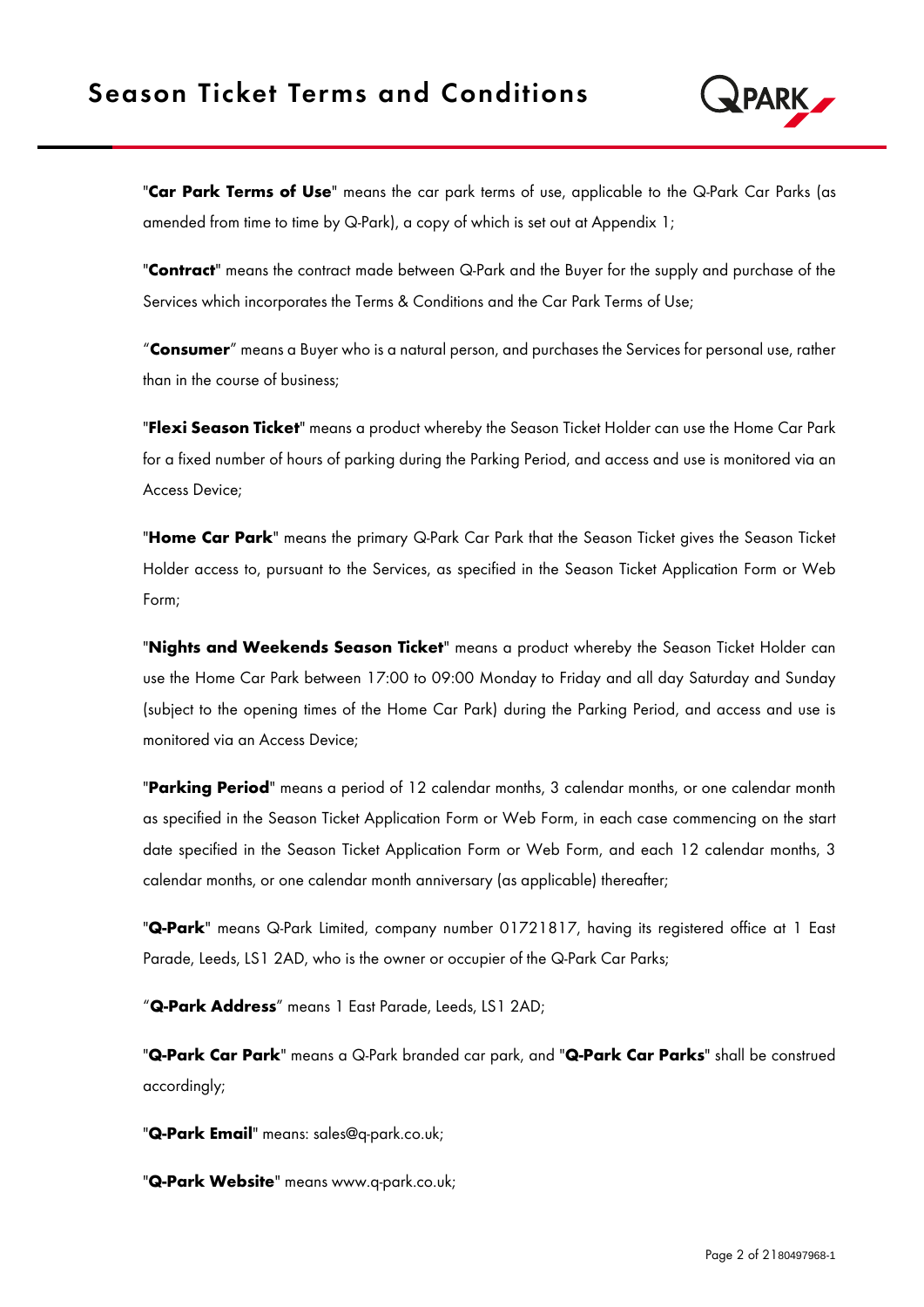

"Car Park Terms of Use" means the car park terms of use, applicable to the Q-Park Car Parks (as amended from time to time by Q-Park), a copy of which is set out at Appendix 1;

"Contract" means the contract made between Q-Park and the Buyer for the supply and purchase of the Services which incorporates the Terms & Conditions and the Car Park Terms of Use;

"Consumer" means a Buyer who is a natural person, and purchases the Services for personal use, rather than in the course of business;

**"Flexi Season Ticket"** means a product whereby the Season Ticket Holder can use the Home Car Park for a fixed number of hours of parking during the Parking Period, and access and use is monitored via an Access Device;

"Home Car Park" means the primary Q-Park Car Park that the Season Ticket gives the Season Ticket Holder access to, pursuant to the Services, as specified in the Season Ticket Application Form or Web Form;

"Nights and Weekends Season Ticket" means a product whereby the Season Ticket Holder can use the Home Car Park between 17:00 to 09:00 Monday to Friday and all day Saturday and Sunday (subject to the opening times of the Home Car Park) during the Parking Period, and access and use is monitored via an Access Device;

"Parking Period" means a period of 12 calendar months, 3 calendar months, or one calendar month as specified in the Season Ticket Application Form or Web Form, in each case commencing on the start date specified in the Season Ticket Application Form or Web Form, and each 12 calendar months, 3 calendar months, or one calendar month anniversary (as applicable) thereafter;

"Q-Park" means Q-Park Limited, company number 01721817, having its registered office at 1 East Parade, Leeds, LS1 2AD, who is the owner or occupier of the Q-Park Car Parks;

"Q-Park Address" means 1 East Parade, Leeds, LS1 2AD;

"Q-Park Car Park" means a Q-Park branded car park, and "Q-Park Car Parks" shall be construed accordingly;

"Q-Park Email" means: sales@q-park.co.uk;

"Q-Park Website" means www.q-park.co.uk;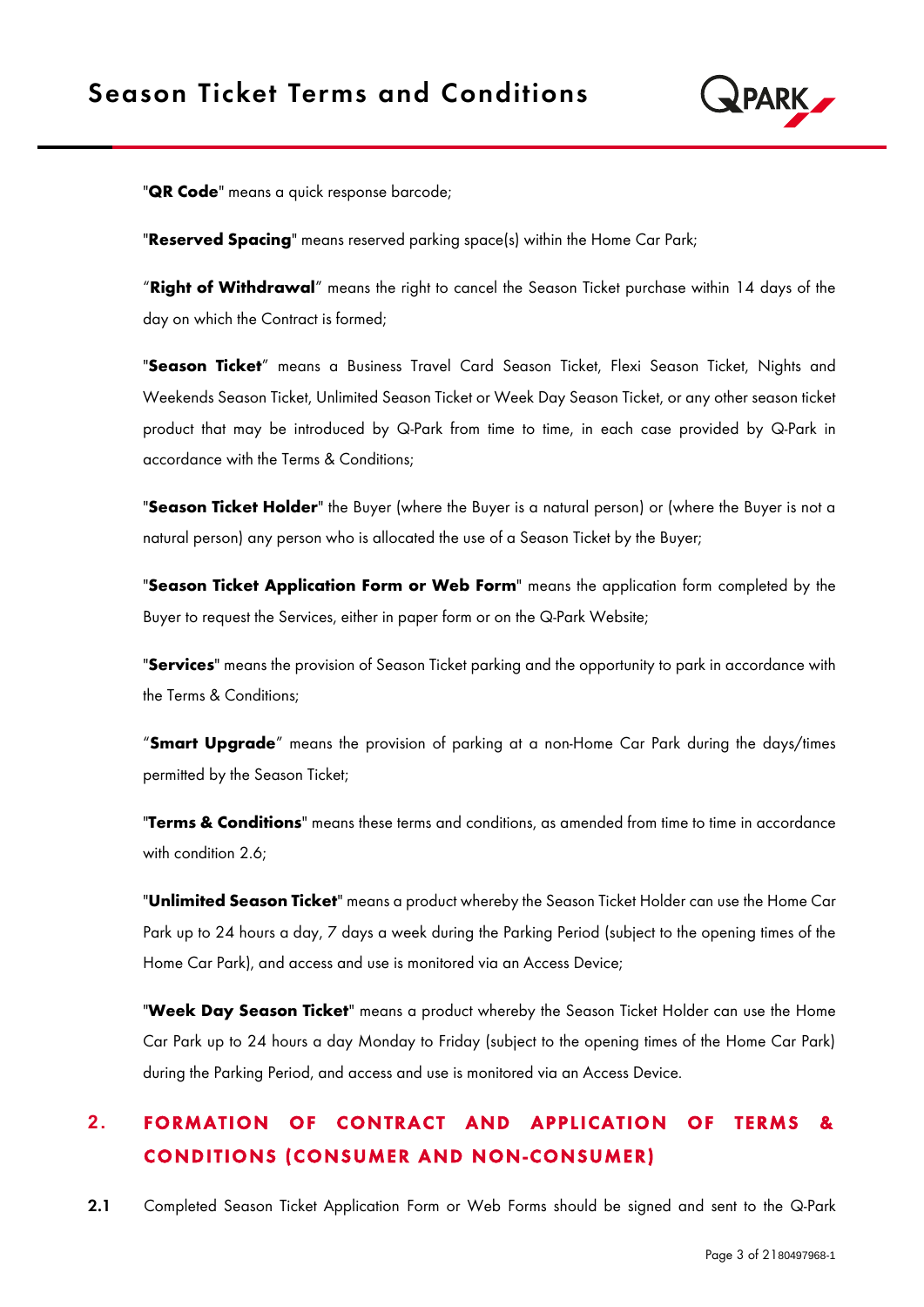

"**QR Code**" means a quick response barcode;

"Reserved Spacing" means reserved parking space(s) within the Home Car Park;

"Right of Withdrawal" means the right to cancel the Season Ticket purchase within 14 days of the day on which the Contract is formed;

"Season Ticket" means a Business Travel Card Season Ticket, Flexi Season Ticket, Nights and Weekends Season Ticket, Unlimited Season Ticket or Week Day Season Ticket, or any other season ticket product that may be introduced by Q-Park from time to time, in each case provided by Q-Park in accordance with the Terms & Conditions;

"Season Ticket Holder" the Buyer (where the Buyer is a natural person) or (where the Buyer is not a natural person) any person who is allocated the use of a Season Ticket by the Buyer;

"Season Ticket Application Form or Web Form" means the application form completed by the Buyer to request the Services, either in paper form or on the Q-Park Website;

"Services" means the provision of Season Ticket parking and the opportunity to park in accordance with the Terms & Conditions;

"Smart Upgrade" means the provision of parking at a non-Home Car Park during the days/times permitted by the Season Ticket;

"Terms & Conditions" means these terms and conditions, as amended from time to time in accordance with condition 2.6;

"**Unlimited Season Ticket**" means a product whereby the Season Ticket Holder can use the Home Car Park up to 24 hours a day, 7 days a week during the Parking Period (subject to the opening times of the Home Car Park), and access and use is monitored via an Access Device;

"Week Day Season Ticket" means a product whereby the Season Ticket Holder can use the Home Car Park up to 24 hours a day Monday to Friday (subject to the opening times of the Home Car Park) during the Parking Period, and access and use is monitored via an Access Device.

# **2. FORMATION OF CONTRACT AND APPLICATION OF TERMS &** CONDITIONS (CONSUMER AND NON-CONSUMER)

2.1 Completed Season Ticket Application Form or Web Forms should be signed and sent to the Q-Park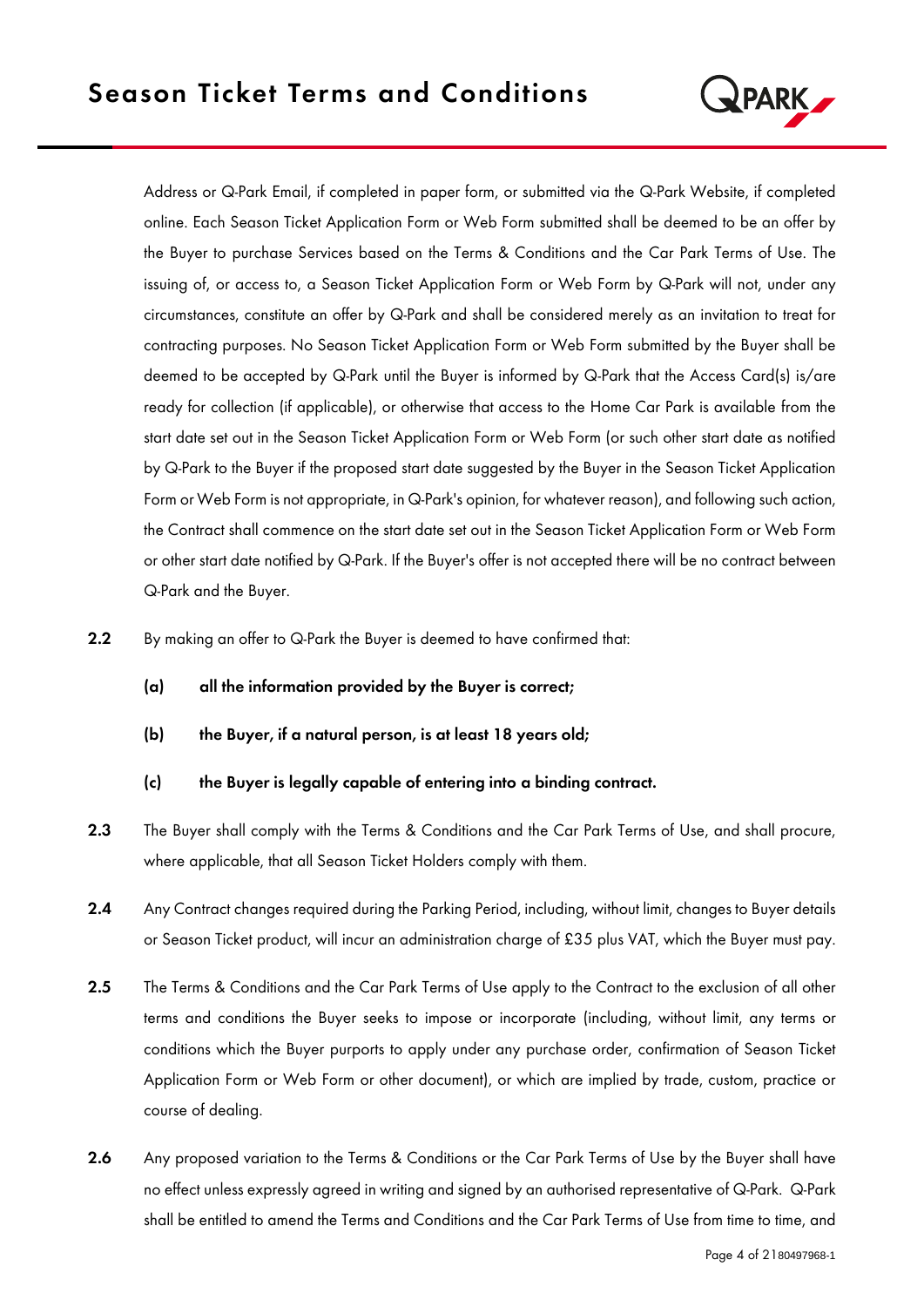

Address or Q-Park Email, if completed in paper form, or submitted via the Q-Park Website, if completed online. Each Season Ticket Application Form or Web Form submitted shall be deemed to be an offer by the Buyer to purchase Services based on the Terms & Conditions and the Car Park Terms of Use. The issuing of, or access to, a Season Ticket Application Form or Web Form by Q-Park will not, under any circumstances, constitute an offer by Q-Park and shall be considered merely as an invitation to treat for contracting purposes. No Season Ticket Application Form or Web Form submitted by the Buyer shall be deemed to be accepted by Q-Park until the Buyer is informed by Q-Park that the Access Card(s) is/are ready for collection (if applicable), or otherwise that access to the Home Car Park is available from the start date set out in the Season Ticket Application Form or Web Form (or such other start date as notified by Q-Park to the Buyer if the proposed start date suggested by the Buyer in the Season Ticket Application Form or Web Form is not appropriate, in Q-Park's opinion, for whatever reason), and following such action, the Contract shall commence on the start date set out in the Season Ticket Application Form or Web Form or other start date notified by Q-Park. If the Buyer's offer is not accepted there will be no contract between Q-Park and the Buyer.

- 2.2 By making an offer to Q-Park the Buyer is deemed to have confirmed that:
	- (a) all the information provided by the Buyer is correct;
	- (b) the Buyer, if a natural person, is at least 18 years old;
	- (c) the Buyer is legally capable of entering into a binding contract.
- 2.3 The Buyer shall comply with the Terms & Conditions and the Car Park Terms of Use, and shall procure, where applicable, that all Season Ticket Holders comply with them.
- 2.4 Any Contract changes required during the Parking Period, including, without limit, changes to Buyer details or Season Ticket product, will incur an administration charge of £35 plus VAT, which the Buyer must pay.
- 2.5 The Terms & Conditions and the Car Park Terms of Use apply to the Contract to the exclusion of all other terms and conditions the Buyer seeks to impose or incorporate (including, without limit, any terms or conditions which the Buyer purports to apply under any purchase order, confirmation of Season Ticket Application Form or Web Form or other document), or which are implied by trade, custom, practice or course of dealing.
- 2.6 Any proposed variation to the Terms & Conditions or the Car Park Terms of Use by the Buyer shall have no effect unless expressly agreed in writing and signed by an authorised representative of Q-Park. Q-Park shall be entitled to amend the Terms and Conditions and the Car Park Terms of Use from time to time, and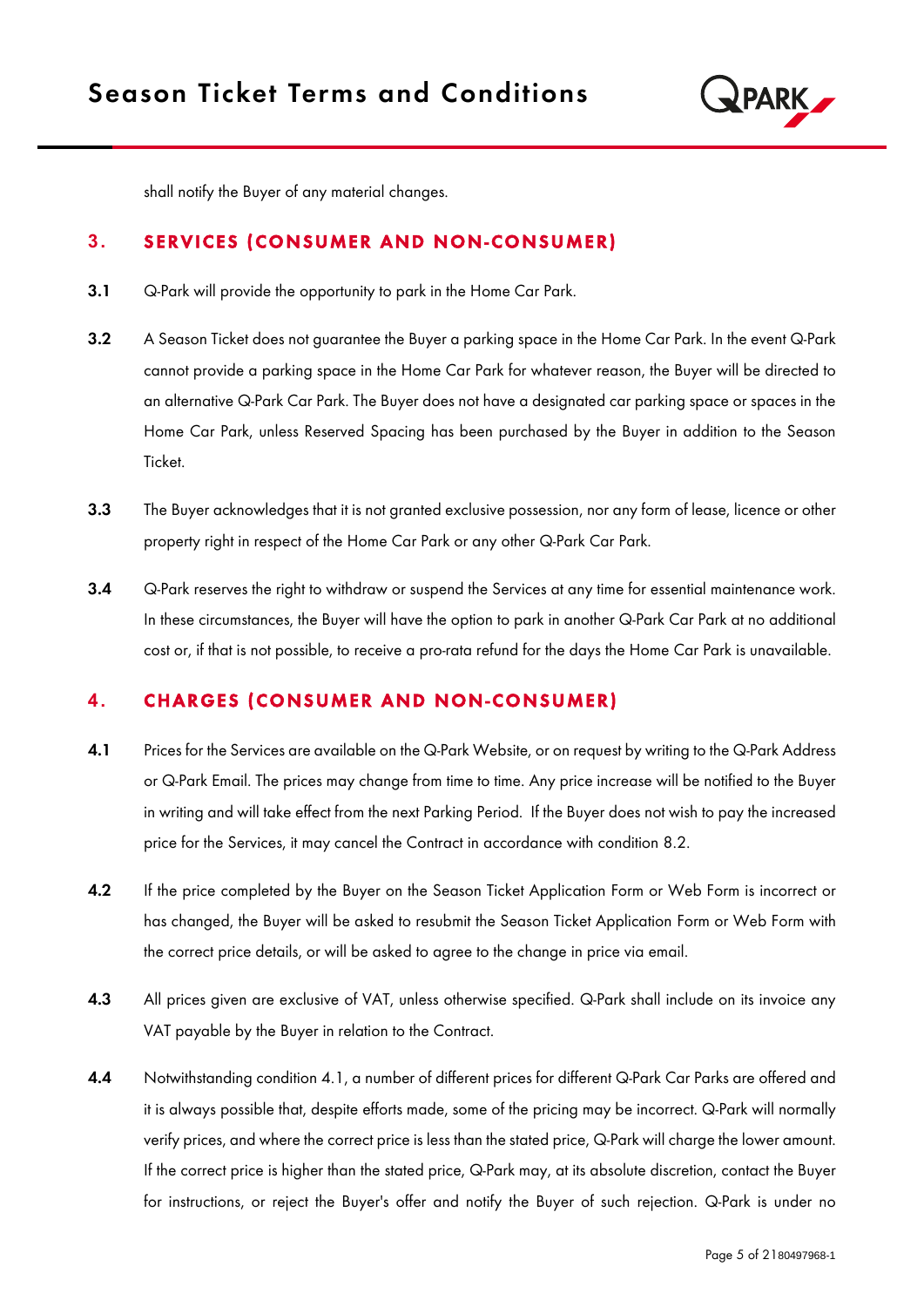

shall notify the Buyer of any material changes.

## **3. SERVICES (CONSUMER AND NON-CONSUMER)**

- 3.1 Q-Park will provide the opportunity to park in the Home Car Park.
- 3.2 A Season Ticket does not guarantee the Buyer a parking space in the Home Car Park. In the event Q-Park cannot provide a parking space in the Home Car Park for whatever reason, the Buyer will be directed to an alternative Q-Park Car Park. The Buyer does not have a designated car parking space or spaces in the Home Car Park, unless Reserved Spacing has been purchased by the Buyer in addition to the Season Ticket.
- 3.3 The Buyer acknowledges that it is not granted exclusive possession, nor any form of lease, licence or other property right in respect of the Home Car Park or any other Q-Park Car Park.
- 3.4 Q-Park reserves the right to withdraw or suspend the Services at any time for essential maintenance work. In these circumstances, the Buyer will have the option to park in another Q-Park Car Park at no additional cost or, if that is not possible, to receive a pro-rata refund for the days the Home Car Park is unavailable.

## **4. CHARGES (CONSUMER AND NON-CONSUMER)**

- 4.1 Prices for the Services are available on the Q-Park Website, or on request by writing to the Q-Park Address or Q-Park Email. The prices may change from time to time. Any price increase will be notified to the Buyer in writing and will take effect from the next Parking Period. If the Buyer does not wish to pay the increased price for the Services, it may cancel the Contract in accordance with condition 8.2.
- 4.2 If the price completed by the Buyer on the Season Ticket Application Form or Web Form is incorrect or has changed, the Buyer will be asked to resubmit the Season Ticket Application Form or Web Form with the correct price details, or will be asked to agree to the change in price via email.
- 4.3 All prices given are exclusive of VAT, unless otherwise specified. Q-Park shall include on its invoice any VAT payable by the Buyer in relation to the Contract.
- 4.4 Notwithstanding condition 4.1, a number of different prices for different Q-Park Car Parks are offered and it is always possible that, despite efforts made, some of the pricing may be incorrect. Q-Park will normally verify prices, and where the correct price is less than the stated price, Q-Park will charge the lower amount. If the correct price is higher than the stated price, Q-Park may, at its absolute discretion, contact the Buyer for instructions, or reject the Buyer's offer and notify the Buyer of such rejection. Q-Park is under no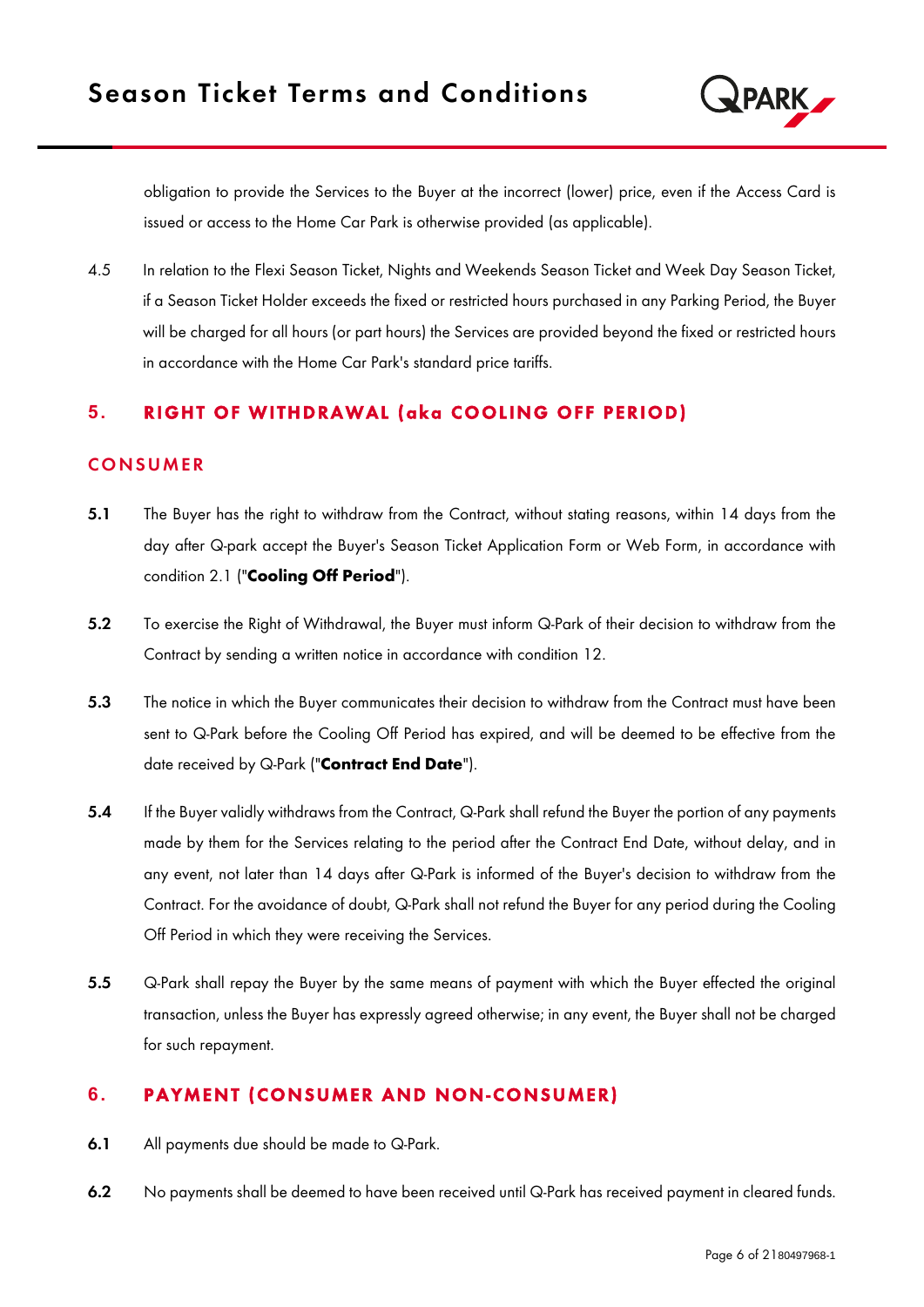

obligation to provide the Services to the Buyer at the incorrect (lower) price, even if the Access Card is issued or access to the Home Car Park is otherwise provided (as applicable).

4.5 In relation to the Flexi Season Ticket, Nights and Weekends Season Ticket and Week Day Season Ticket, if a Season Ticket Holder exceeds the fixed or restricted hours purchased in any Parking Period, the Buyer will be charged for all hours (or part hours) the Services are provided beyond the fixed or restricted hours in accordance with the Home Car Park's standard price tariffs.

## **5. RIGHT OF WITHDRAWAL (aka COOLING OFF PERIOD)**

#### **CONSUMER**

- 5.1 The Buyer has the right to withdraw from the Contract, without stating reasons, within 14 days from the day after Q-park accept the Buyer's Season Ticket Application Form or Web Form, in accordance with condition 2.1 ("Cooling Off Period").
- 5.2 To exercise the Right of Withdrawal, the Buyer must inform Q-Park of their decision to withdraw from the Contract by sending a written notice in accordance with condition 12.
- 5.3 The notice in which the Buyer communicates their decision to withdraw from the Contract must have been sent to Q-Park before the Cooling Off Period has expired, and will be deemed to be effective from the date received by Q-Park ("Contract End Date").
- 5.4 If the Buyer validly withdraws from the Contract, Q-Park shall refund the Buyer the portion of any payments made by them for the Services relating to the period after the Contract End Date, without delay, and in any event, not later than 14 days after Q-Park is informed of the Buyer's decision to withdraw from the Contract. For the avoidance of doubt, Q-Park shall not refund the Buyer for any period during the Cooling Off Period in which they were receiving the Services.
- 5.5 Q-Park shall repay the Buyer by the same means of payment with which the Buyer effected the original transaction, unless the Buyer has expressly agreed otherwise; in any event, the Buyer shall not be charged for such repayment.

# **6. PAYMENT (CONSUMER AND NON-CONSUMER)**

- 6.1 All payments due should be made to Q-Park.
- 6.2 No payments shall be deemed to have been received until Q-Park has received payment in cleared funds.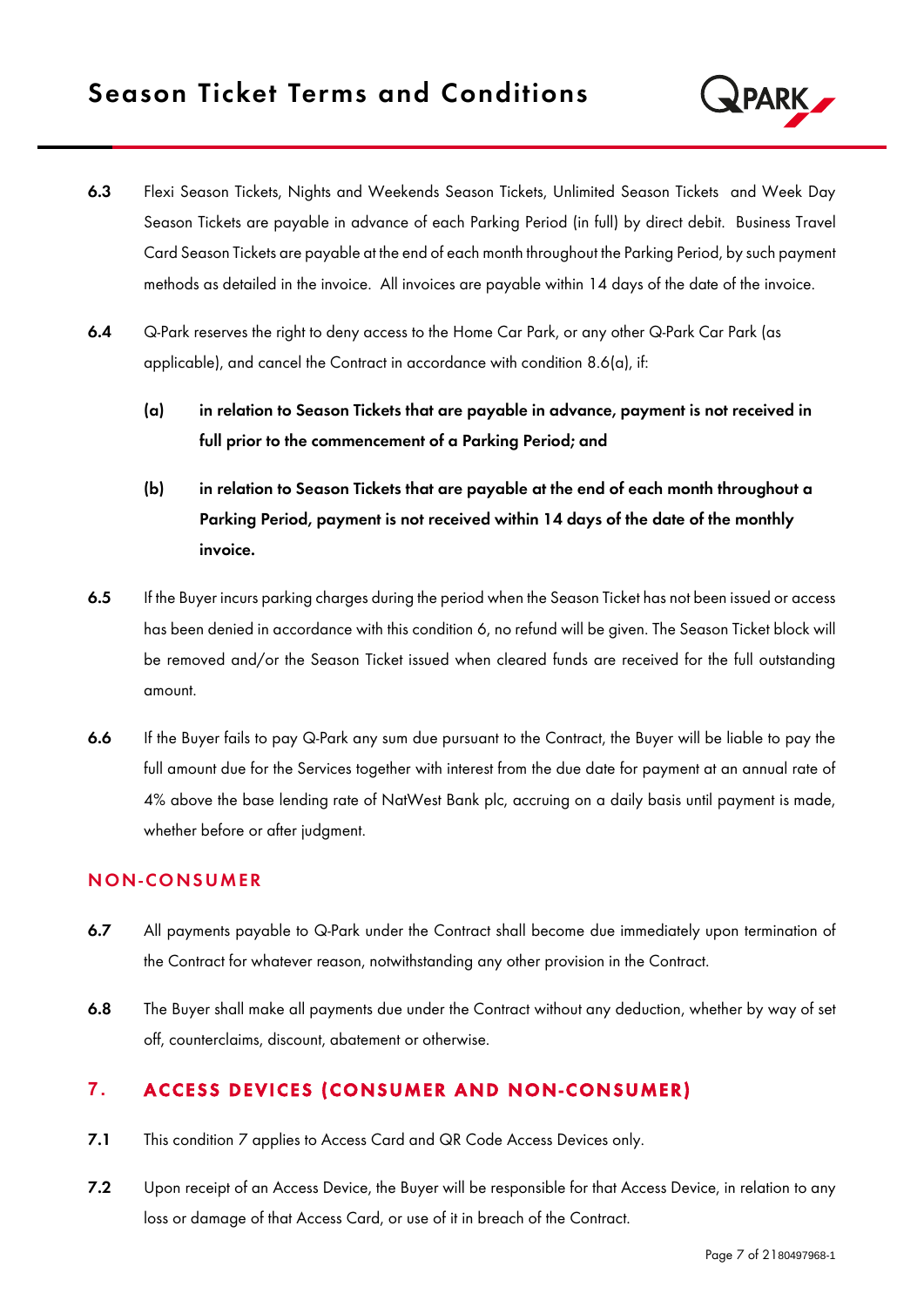

- 6.3 Flexi Season Tickets, Nights and Weekends Season Tickets, Unlimited Season Tickets and Week Day Season Tickets are payable in advance of each Parking Period (in full) by direct debit. Business Travel Card Season Tickets are payable at the end of each month throughout the Parking Period, by such payment methods as detailed in the invoice. All invoices are payable within 14 days of the date of the invoice.
- 6.4 G-Park reserves the right to deny access to the Home Car Park, or any other Q-Park Car Park (as applicable), and cancel the Contract in accordance with condition 8.6(a), if:
	- (a) in relation to Season Tickets that are payable in advance, payment is not received in full prior to the commencement of a Parking Period; and
	- (b) in relation to Season Tickets that are payable at the end of each month throughout a Parking Period, payment is not received within 14 days of the date of the monthly invoice.
- 6.5 If the Buyer incurs parking charges during the period when the Season Ticket has not been issued or access has been denied in accordance with this condition 6, no refund will be given. The Season Ticket block will be removed and/or the Season Ticket issued when cleared funds are received for the full outstanding amount.
- 6.6 If the Buyer fails to pay Q-Park any sum due pursuant to the Contract, the Buyer will be liable to pay the full amount due for the Services together with interest from the due date for payment at an annual rate of 4% above the base lending rate of NatWest Bank plc, accruing on a daily basis until payment is made, whether before or after judgment.

#### N ON-CO NS UMER

- 6.7 All payments payable to Q-Park under the Contract shall become due immediately upon termination of the Contract for whatever reason, notwithstanding any other provision in the Contract.
- 6.8 The Buyer shall make all payments due under the Contract without any deduction, whether by way of set off, counterclaims, discount, abatement or otherwise.

# **7. ACCESS DEVICES (CONSUMER AND NON-CONSUMER)**

- 7.1 This condition 7 applies to Access Card and QR Code Access Devices only.
- 7.2 Upon receipt of an Access Device, the Buyer will be responsible for that Access Device, in relation to any loss or damage of that Access Card, or use of it in breach of the Contract.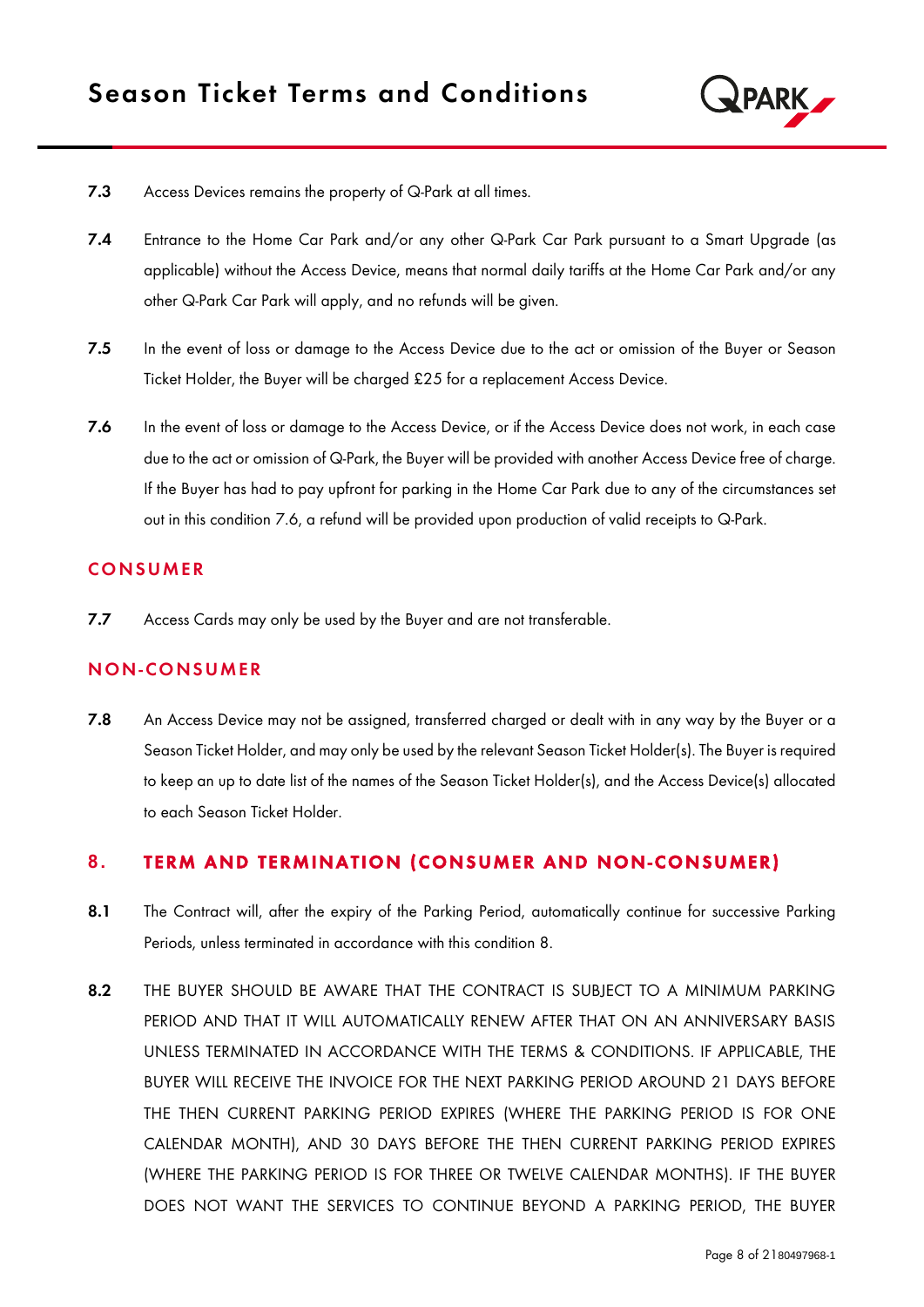

- 7.3 Access Devices remains the property of Q-Park at all times.
- 7.4 Entrance to the Home Car Park and/or any other Q-Park Car Park pursuant to a Smart Upgrade (as applicable) without the Access Device, means that normal daily tariffs at the Home Car Park and/or any other Q-Park Car Park will apply, and no refunds will be given.
- 7.5 In the event of loss or damage to the Access Device due to the act or omission of the Buyer or Season Ticket Holder, the Buyer will be charged £25 for a replacement Access Device.
- 7.6 In the event of loss or damage to the Access Device, or if the Access Device does not work, in each case due to the act or omission of Q-Park, the Buyer will be provided with another Access Device free of charge. If the Buyer has had to pay upfront for parking in the Home Car Park due to any of the circumstances set out in this condition 7.6, a refund will be provided upon production of valid receipts to Q-Park.

#### **CONSUMER**

7.7 Access Cards may only be used by the Buyer and are not transferable.

#### N ON-CO NS UMER

7.8 An Access Device may not be assigned, transferred charged or dealt with in any way by the Buyer or a Season Ticket Holder, and may only be used by the relevant Season Ticket Holder(s). The Buyer is required to keep an up to date list of the names of the Season Ticket Holder(s), and the Access Device(s) allocated to each Season Ticket Holder.

#### **8. TERM AND TERMINATION (CONSUMER AND NON-CONSUMER)**

- 8.1 The Contract will, after the expiry of the Parking Period, automatically continue for successive Parking Periods, unless terminated in accordance with this condition 8.
- 8.2 THE BUYER SHOULD BE AWARE THAT THE CONTRACT IS SUBJECT TO A MINIMUM PARKING PERIOD AND THAT IT WILL AUTOMATICALLY RENEW AFTER THAT ON AN ANNIVERSARY BASIS UNLESS TERMINATED IN ACCORDANCE WITH THE TERMS & CONDITIONS. IF APPLICABLE, THE BUYER WILL RECEIVE THE INVOICE FOR THE NEXT PARKING PERIOD AROUND 21 DAYS BEFORE THE THEN CURRENT PARKING PERIOD EXPIRES (WHERE THE PARKING PERIOD IS FOR ONE CALENDAR MONTH), AND 30 DAYS BEFORE THE THEN CURRENT PARKING PERIOD EXPIRES (WHERE THE PARKING PERIOD IS FOR THREE OR TWELVE CALENDAR MONTHS). IF THE BUYER DOES NOT WANT THE SERVICES TO CONTINUE BEYOND A PARKING PERIOD, THE BUYER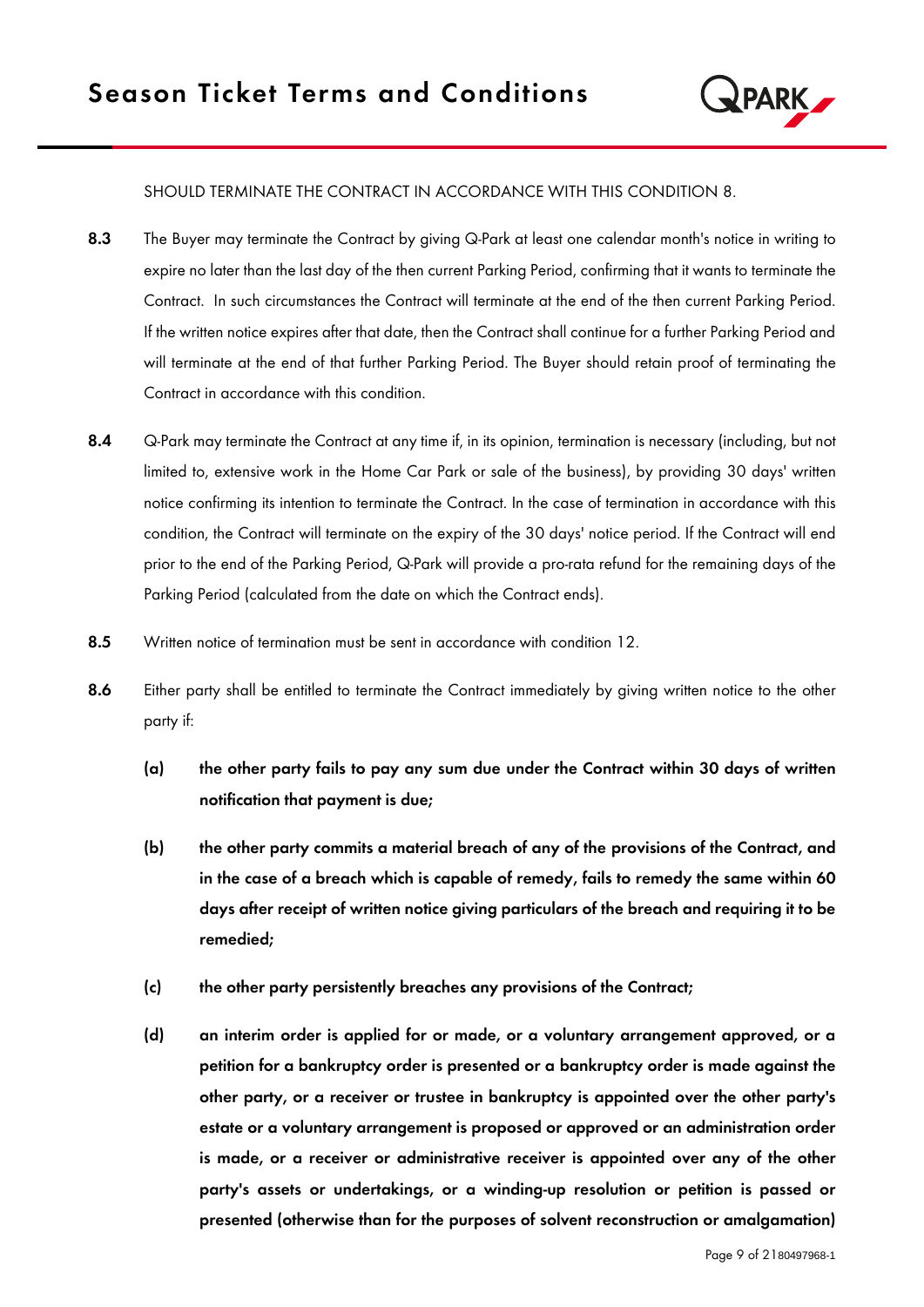

#### SHOULD TERMINATE THE CONTRACT IN ACCORDANCE WITH THIS CONDITION 8.

- 8.3 The Buyer may terminate the Contract by giving Q-Park at least one calendar month's notice in writing to expire no later than the last day of the then current Parking Period, confirming that it wants to terminate the Contract. In such circumstances the Contract will terminate at the end of the then current Parking Period. If the written notice expires after that date, then the Contract shall continue for a further Parking Period and will terminate at the end of that further Parking Period. The Buyer should retain proof of terminating the Contract in accordance with this condition.
- 8.4 Q-Park may terminate the Contract at any time if, in its opinion, termination is necessary (including, but not limited to, extensive work in the Home Car Park or sale of the business), by providing 30 days' written notice confirming its intention to terminate the Contract. In the case of termination in accordance with this condition, the Contract will terminate on the expiry of the 30 days' notice period. If the Contract will end prior to the end of the Parking Period, Q-Park will provide a pro-rata refund for the remaining days of the Parking Period (calculated from the date on which the Contract ends).
- 8.5 Written notice of termination must be sent in accordance with condition 12.
- 8.6 Either party shall be entitled to terminate the Contract immediately by giving written notice to the other party if:
	- (a) the other party fails to pay any sum due under the Contract within 30 days of written notification that payment is due;
	- (b) the other party commits a material breach of any of the provisions of the Contract, and in the case of a breach which is capable of remedy, fails to remedy the same within 60 days after receipt of written notice giving particulars of the breach and requiring it to be remedied;
	- (c) the other party persistently breaches any provisions of the Contract;
	- (d) an interim order is applied for or made, or a voluntary arrangement approved, or a petition for a bankruptcy order is presented or a bankruptcy order is made against the other party, or a receiver or trustee in bankruptcy is appointed over the other party's estate or a voluntary arrangement is proposed or approved or an administration order is made, or a receiver or administrative receiver is appointed over any of the other party's assets or undertakings, or a winding-up resolution or petition is passed or presented (otherwise than for the purposes of solvent reconstruction or amalgamation)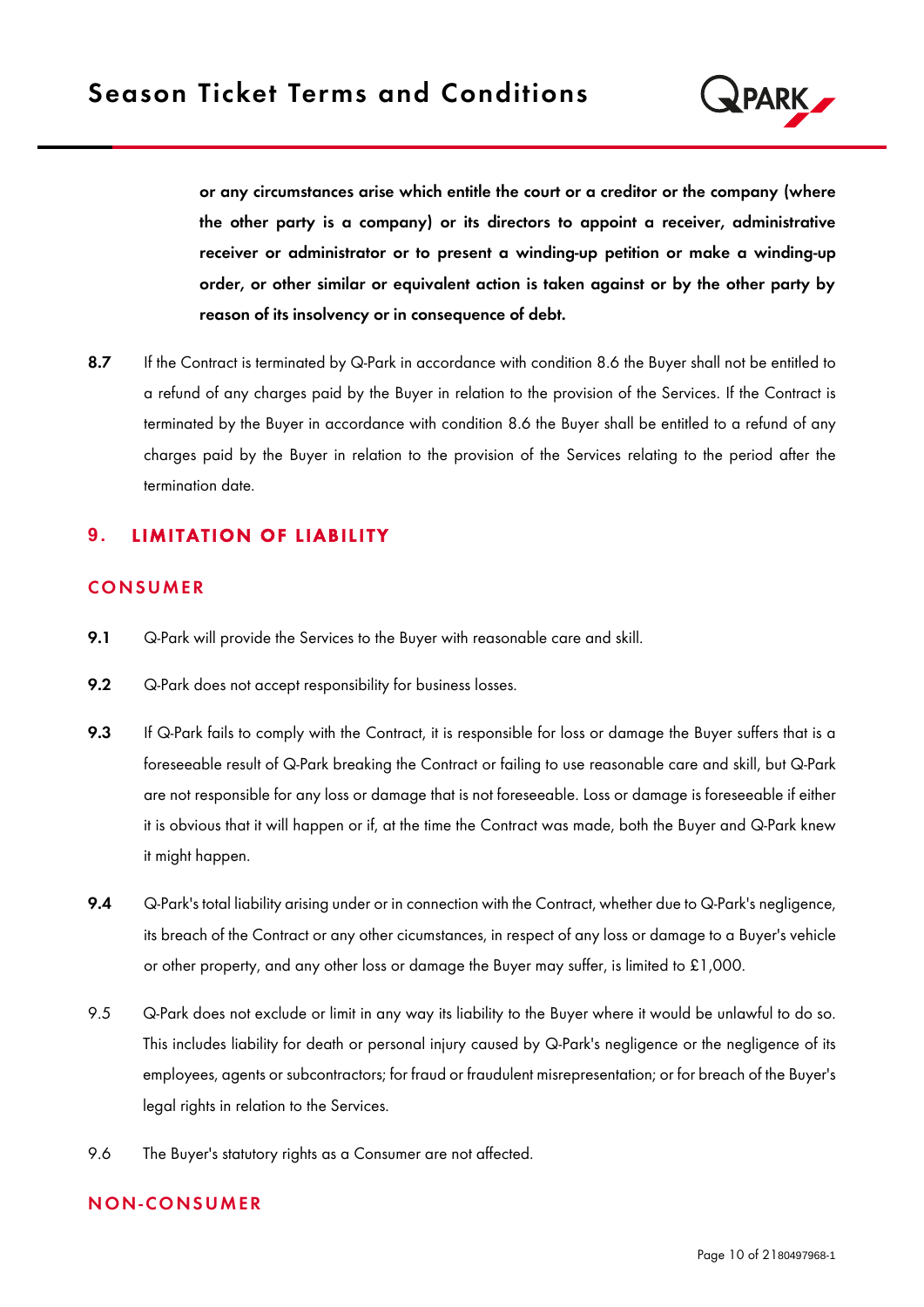

or any circumstances arise which entitle the court or a creditor or the company (where the other party is a company) or its directors to appoint a receiver, administrative receiver or administrator or to present a winding-up petition or make a winding-up order, or other similar or equivalent action is taken against or by the other party by reason of its insolvency or in consequence of debt.

8.7 If the Contract is terminated by Q-Park in accordance with condition 8.6 the Buyer shall not be entitled to a refund of any charges paid by the Buyer in relation to the provision of the Services. If the Contract is terminated by the Buyer in accordance with condition 8.6 the Buyer shall be entitled to a refund of any charges paid by the Buyer in relation to the provision of the Services relating to the period after the termination date.

# **9. LIMITATION OF LIABILITY**

## **CONSUMER**

- 9.1 Q-Park will provide the Services to the Buyer with reasonable care and skill.
- 9.2 G-Park does not accept responsibility for business losses.
- 9.3 If Q-Park fails to comply with the Contract, it is responsible for loss or damage the Buyer suffers that is a foreseeable result of Q-Park breaking the Contract or failing to use reasonable care and skill, but Q-Park are not responsible for any loss or damage that is not foreseeable. Loss or damage is foreseeable if either it is obvious that it will happen or if, at the time the Contract was made, both the Buyer and Q-Park knew it might happen.
- 9.4 Q-Park's total liability arising under or in connection with the Contract, whether due to Q-Park's negligence, its breach of the Contract or any other cicumstances, in respect of any loss or damage to a Buyer's vehicle or other property, and any other loss or damage the Buyer may suffer, is limited to £1,000.
- 9.5 Q-Park does not exclude or limit in any way its liability to the Buyer where it would be unlawful to do so. This includes liability for death or personal injury caused by Q-Park's negligence or the negligence of its employees, agents or subcontractors; for fraud or fraudulent misrepresentation; or for breach of the Buyer's legal rights in relation to the Services.
- 9.6 The Buyer's statutory rights as a Consumer are not affected.

#### N ON-CO NS UMER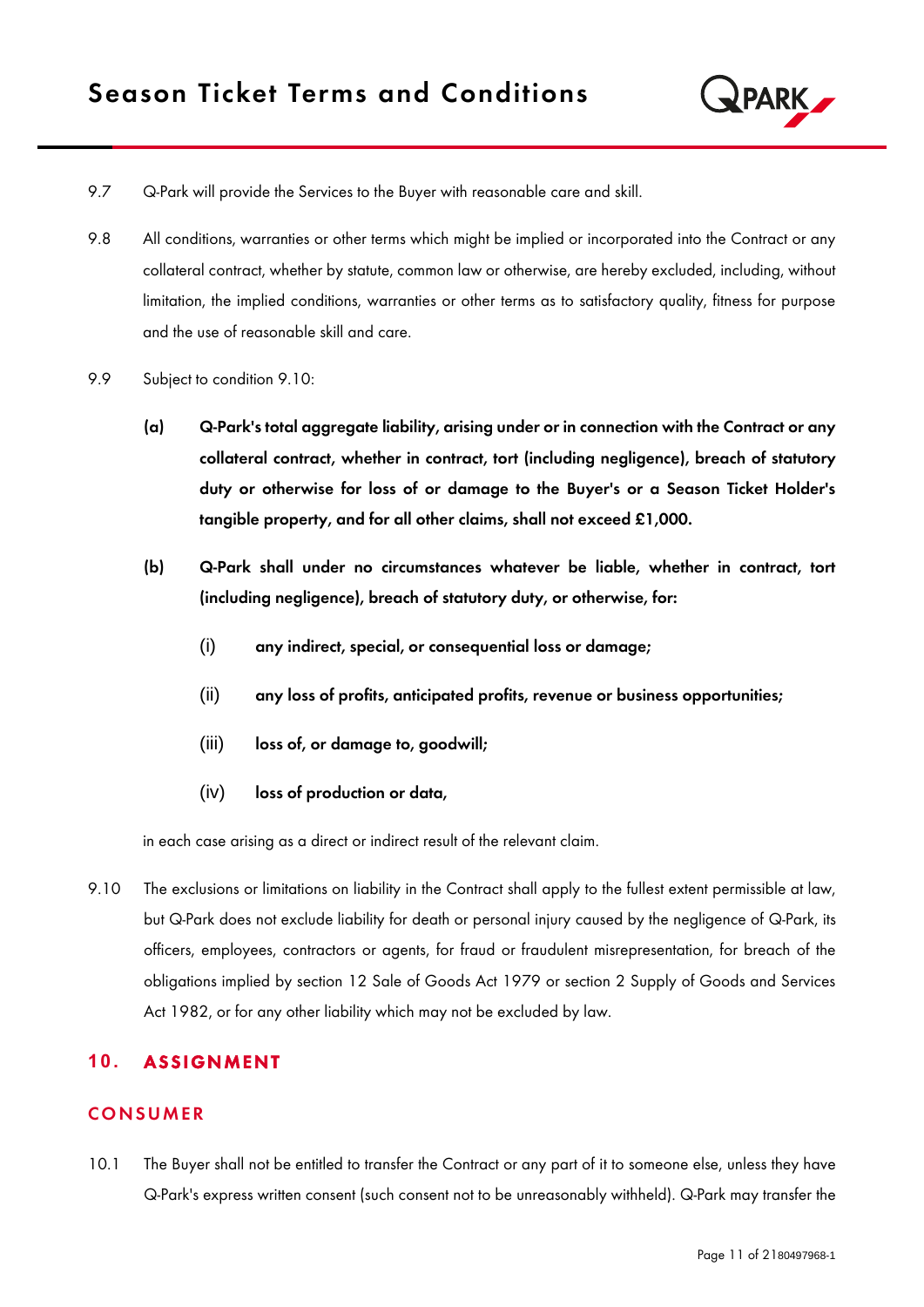

- 9.7 Q-Park will provide the Services to the Buyer with reasonable care and skill.
- 9.8 All conditions, warranties or other terms which might be implied or incorporated into the Contract or any collateral contract, whether by statute, common law or otherwise, are hereby excluded, including, without limitation, the implied conditions, warranties or other terms as to satisfactory quality, fitness for purpose and the use of reasonable skill and care.
- 9.9 Subject to condition 9.10:
	- (a) Q-Park's total aggregate liability, arising under or in connection with the Contract or any collateral contract, whether in contract, tort (including negligence), breach of statutory duty or otherwise for loss of or damage to the Buyer's or a Season Ticket Holder's tangible property, and for all other claims, shall not exceed £1,000.
	- (b) Q-Park shall under no circumstances whatever be liable, whether in contract, tort (including negligence), breach of statutory duty, or otherwise, for:
		- (i) any indirect, special, or consequential loss or damage;
		- (ii) any loss of profits, anticipated profits, revenue or business opportunities;
		- (iii) loss of, or damage to, goodwill;
		- (iv) loss of production or data,

in each case arising as a direct or indirect result of the relevant claim.

9.10 The exclusions or limitations on liability in the Contract shall apply to the fullest extent permissible at law, but Q-Park does not exclude liability for death or personal injury caused by the negligence of Q-Park, its officers, employees, contractors or agents, for fraud or fraudulent misrepresentation, for breach of the obligations implied by section 12 Sale of Goods Act 1979 or section 2 Supply of Goods and Services Act 1982, or for any other liability which may not be excluded by law.

## 10. ASSIGNMENT

## **CONSUMER**

10.1 The Buyer shall not be entitled to transfer the Contract or any part of it to someone else, unless they have Q-Park's express written consent (such consent not to be unreasonably withheld). Q-Park may transfer the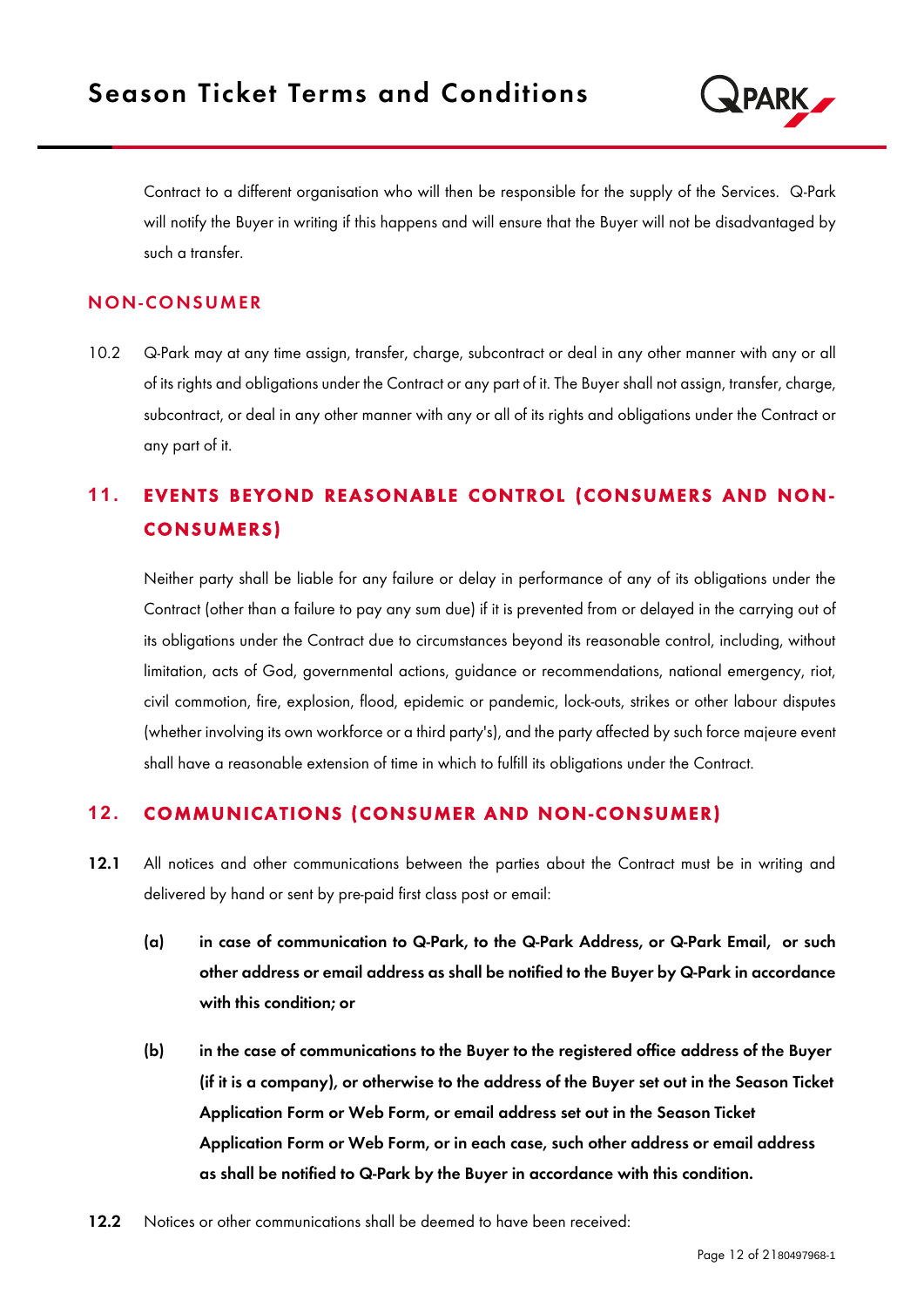

Contract to a different organisation who will then be responsible for the supply of the Services. Q-Park will notify the Buyer in writing if this happens and will ensure that the Buyer will not be disadvantaged by such a transfer.

### N ON-CO NS UMER

10.2 Q-Park may at any time assign, transfer, charge, subcontract or deal in any other manner with any or all of its rights and obligations under the Contract or any part of it. The Buyer shall not assign, transfer, charge, subcontract, or deal in any other manner with any or all of its rights and obligations under the Contract or any part of it.

# **11. EVENTS BEYOND REASONABLE CONTROL (CONSUMERS AND NON-**CONSUMERS)

Neither party shall be liable for any failure or delay in performance of any of its obligations under the Contract (other than a failure to pay any sum due) if it is prevented from or delayed in the carrying out of its obligations under the Contract due to circumstances beyond its reasonable control, including, without limitation, acts of God, governmental actions, guidance or recommendations, national emergency, riot, civil commotion, fire, explosion, flood, epidemic or pandemic, lock-outs, strikes or other labour disputes (whether involving its own workforce or a third party's), and the party affected by such force majeure event shall have a reasonable extension of time in which to fulfill its obligations under the Contract.

## **12. COMMUNICATIONS (CONSUMER AND NON-CONSUMER)**

- 12.1 All notices and other communications between the parties about the Contract must be in writing and delivered by hand or sent by pre-paid first class post or email:
	- (a) in case of communication to Q-Park, to the Q-Park Address, or Q-Park Email, or such other address or email address as shall be notified to the Buyer by Q-Park in accordance with this condition; or
	- (b) in the case of communications to the Buyer to the registered office address of the Buyer (if it is a company), or otherwise to the address of the Buyer set out in the Season Ticket Application Form or Web Form, or email address set out in the Season Ticket Application Form or Web Form, or in each case, such other address or email address as shall be notified to Q-Park by the Buyer in accordance with this condition.
- 12.2 Notices or other communications shall be deemed to have been received: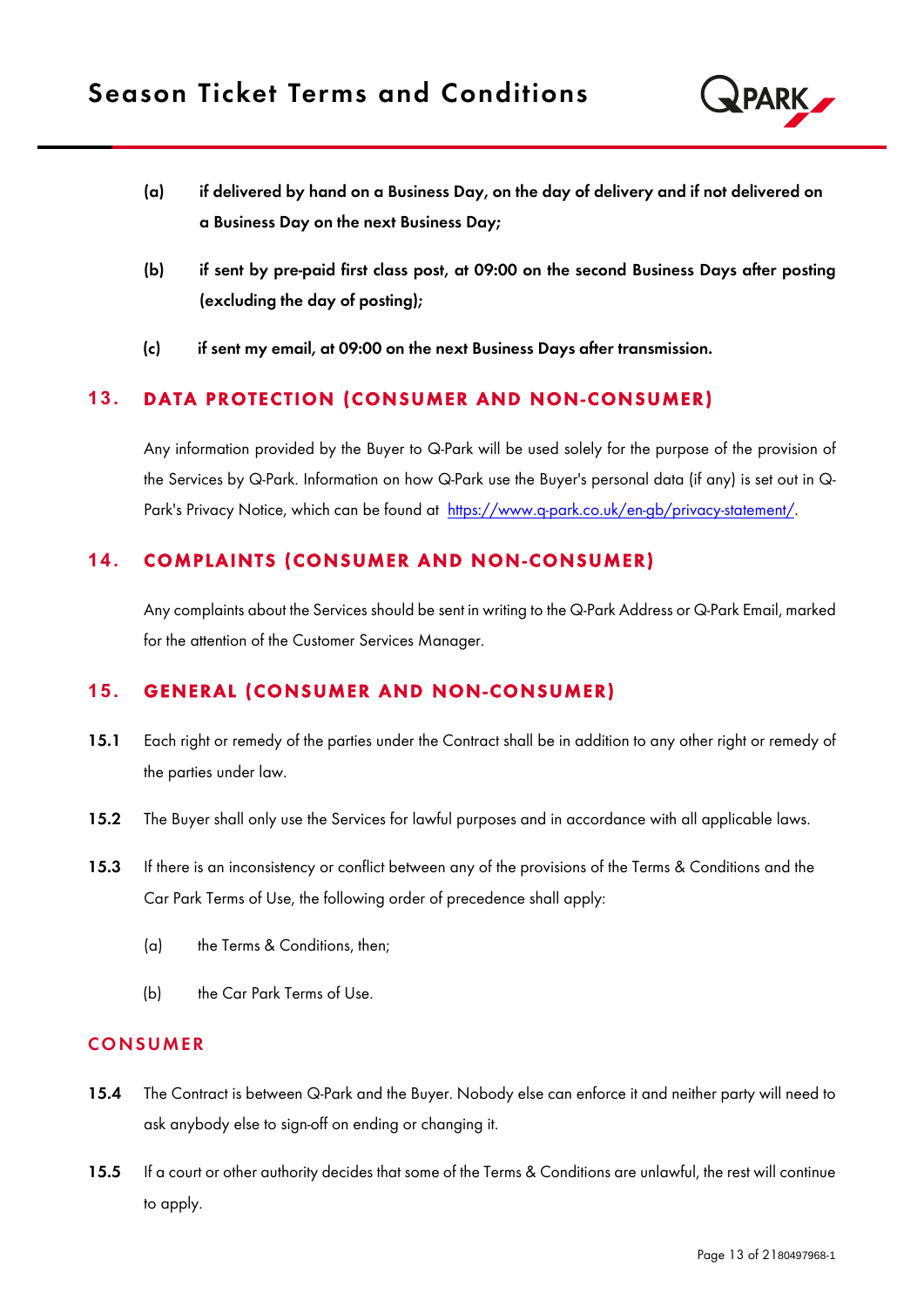

- (a) if delivered by hand on a Business Day, on the day of delivery and if not delivered on a Business Day on the next Business Day;
- (b) if sent by pre-paid first class post, at 09:00 on the second Business Days after posting (excluding the day of posting);
- (c) if sent my email, at 09:00 on the next Business Days after transmission.

## **13. DATA PROTECTION (CONSUMER AND NON-CONSUMER)**

Any information provided by the Buyer to Q-Park will be used solely for the purpose of the provision of the Services by Q-Park. Information on how Q-Park use the Buyer's personal data (if any) is set out in Q-Park's Privacy Notice, which can be found at [https://www.q-park.co.uk/en-gb/privacy-statement/.](https://protect-eu.mimecast.com/s/9--TC6yRUEDNrjh5IFbW?domain=q-park.co.uk/)

## 14. COMPLAINTS (CONSUMER AND NON-CONSUMER)

Any complaints about the Services should be sent in writing to the Q-Park Address or Q-Park Email, marked for the attention of the Customer Services Manager.

## **15. GENERAL (CONSUMER AND NON-CONSUMER)**

- 15.1 Each right or remedy of the parties under the Contract shall be in addition to any other right or remedy of the parties under law.
- 15.2 The Buyer shall only use the Services for lawful purposes and in accordance with all applicable laws.
- 15.3 If there is an inconsistency or conflict between any of the provisions of the Terms & Conditions and the Car Park Terms of Use, the following order of precedence shall apply:
	- (a) the Terms & Conditions, then;
	- (b) the Car Park Terms of Use.

#### **CONSUMER**

- 15.4 The Contract is between Q-Park and the Buyer. Nobody else can enforce it and neither party will need to ask anybody else to sign-off on ending or changing it.
- 15.5 If a court or other authority decides that some of the Terms & Conditions are unlawful, the rest will continue to apply.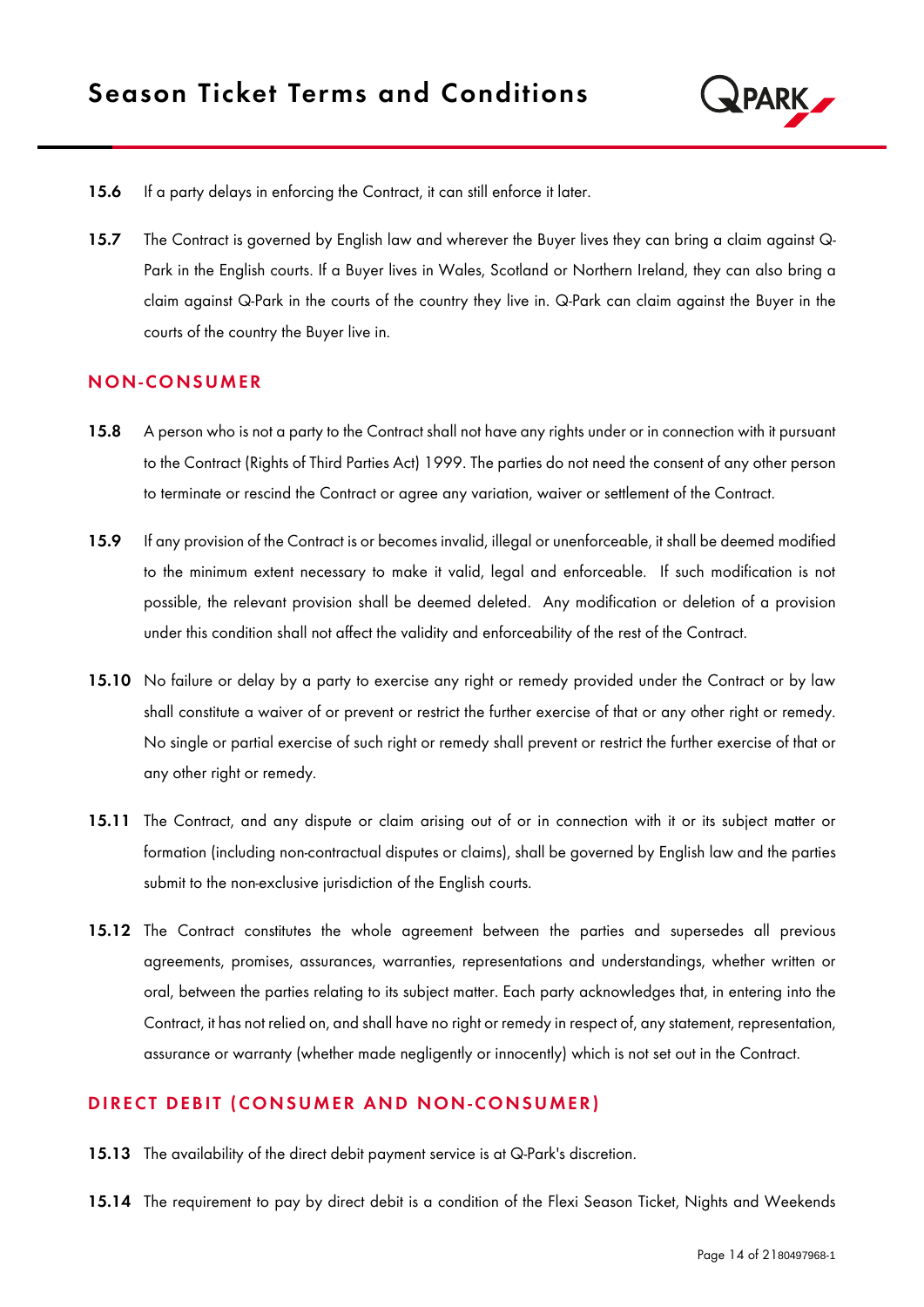

- 15.6 If a party delays in enforcing the Contract, it can still enforce it later.
- 15.7 The Contract is governed by English law and wherever the Buyer lives they can bring a claim against Q-Park in the English courts. If a Buyer lives in Wales, Scotland or Northern Ireland, they can also bring a claim against Q-Park in the courts of the country they live in. Q-Park can claim against the Buyer in the courts of the country the Buyer live in.

#### N ON-CO NS UMER

- 15.8 A person who is not a party to the Contract shall not have any rights under or in connection with it pursuant to the Contract (Rights of Third Parties Act) 1999. The parties do not need the consent of any other person to terminate or rescind the Contract or agree any variation, waiver or settlement of the Contract.
- 15.9 If any provision of the Contract is or becomes invalid, illegal or unenforceable, it shall be deemed modified to the minimum extent necessary to make it valid, legal and enforceable. If such modification is not possible, the relevant provision shall be deemed deleted. Any modification or deletion of a provision under this condition shall not affect the validity and enforceability of the rest of the Contract.
- 15.10 No failure or delay by a party to exercise any right or remedy provided under the Contract or by law shall constitute a waiver of or prevent or restrict the further exercise of that or any other right or remedy. No single or partial exercise of such right or remedy shall prevent or restrict the further exercise of that or any other right or remedy.
- 15.11 The Contract, and any dispute or claim arising out of or in connection with it or its subject matter or formation (including non-contractual disputes or claims), shall be governed by English law and the parties submit to the non-exclusive jurisdiction of the English courts.
- 15.12 The Contract constitutes the whole agreement between the parties and supersedes all previous agreements, promises, assurances, warranties, representations and understandings, whether written or oral, between the parties relating to its subject matter. Each party acknowledges that, in entering into the Contract, it has not relied on, and shall have no right or remedy in respect of, any statement, representation, assurance or warranty (whether made negligently or innocently) which is not set out in the Contract.

#### DIRECT DEBIT (CONSUMER AND NON-CONSUMER)

- 15.13 The availability of the direct debit payment service is at Q-Park's discretion.
- 15.14 The requirement to pay by direct debit is a condition of the Flexi Season Ticket, Nights and Weekends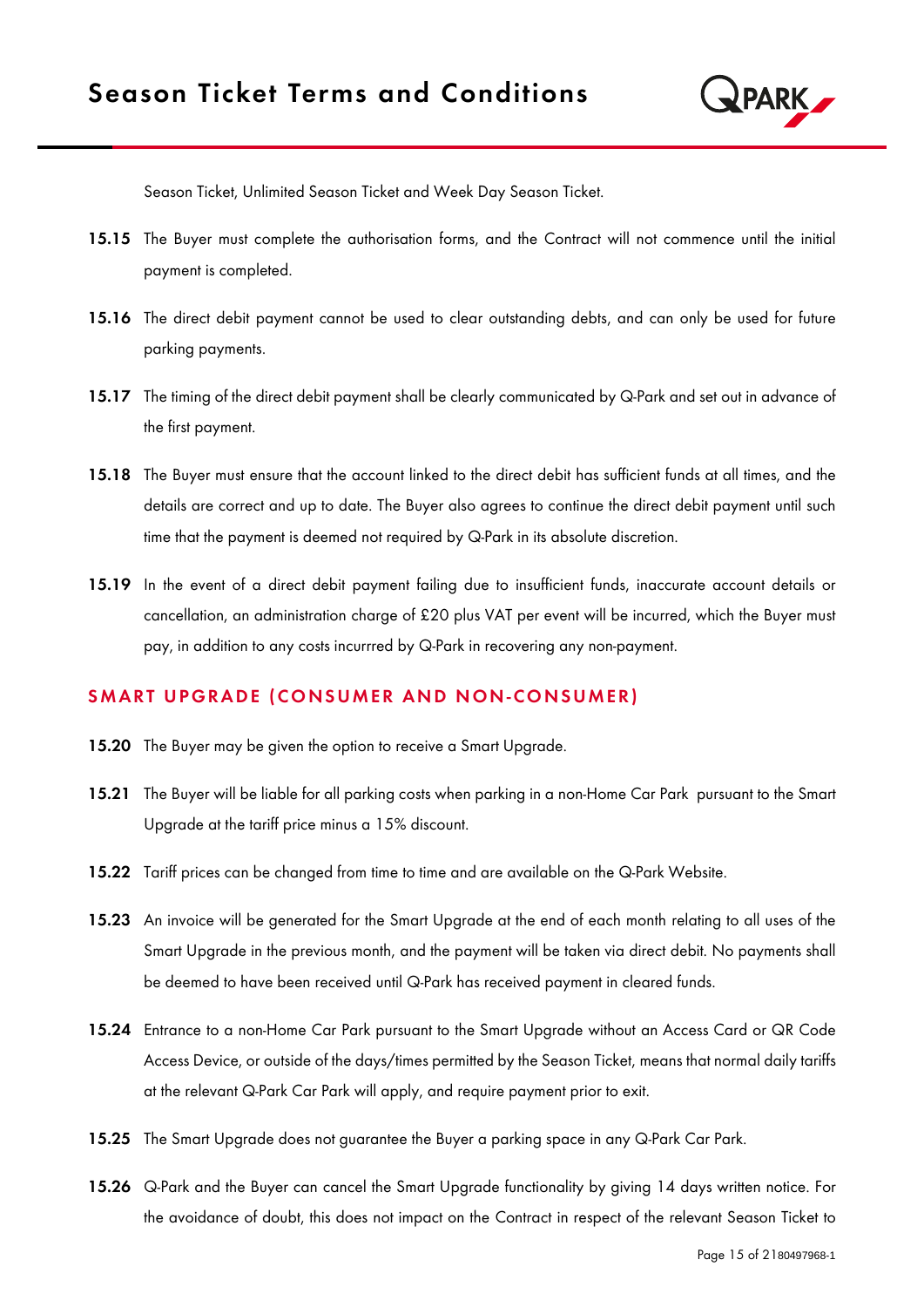

Season Ticket, Unlimited Season Ticket and Week Day Season Ticket.

- 15.15 The Buyer must complete the authorisation forms, and the Contract will not commence until the initial payment is completed.
- 15.16 The direct debit payment cannot be used to clear outstanding debts, and can only be used for future parking payments.
- 15.17 The timing of the direct debit payment shall be clearly communicated by Q-Park and set out in advance of the first payment.
- 15.18 The Buyer must ensure that the account linked to the direct debit has sufficient funds at all times, and the details are correct and up to date. The Buyer also agrees to continue the direct debit payment until such time that the payment is deemed not required by Q-Park in its absolute discretion.
- 15.19 In the event of a direct debit payment failing due to insufficient funds, inaccurate account details or cancellation, an administration charge of £20 plus VAT per event will be incurred, which the Buyer must pay, in addition to any costs incurrred by Q-Park in recovering any non-payment.

#### SMART UPGRADE (CONSUMER AND NON-CONSUMER)

- 15.20 The Buyer may be given the option to receive a Smart Upgrade.
- 15.21 The Buyer will be liable for all parking costs when parking in a non-Home Car Park pursuant to the Smart Upgrade at the tariff price minus a 15% discount.
- 15.22 Tariff prices can be changed from time to time and are available on the Q-Park Website.
- 15.23 An invoice will be generated for the Smart Upgrade at the end of each month relating to all uses of the Smart Upgrade in the previous month, and the payment will be taken via direct debit. No payments shall be deemed to have been received until Q-Park has received payment in cleared funds.
- 15.24 Entrance to a non-Home Car Park pursuant to the Smart Upgrade without an Access Card or QR Code Access Device, or outside of the days/times permitted by the Season Ticket, means that normal daily tariffs at the relevant Q-Park Car Park will apply, and require payment prior to exit.
- 15.25 The Smart Upgrade does not guarantee the Buyer a parking space in any Q-Park Car Park.
- 15.26 Q-Park and the Buyer can cancel the Smart Upgrade functionality by giving 14 days written notice. For the avoidance of doubt, this does not impact on the Contract in respect of the relevant Season Ticket to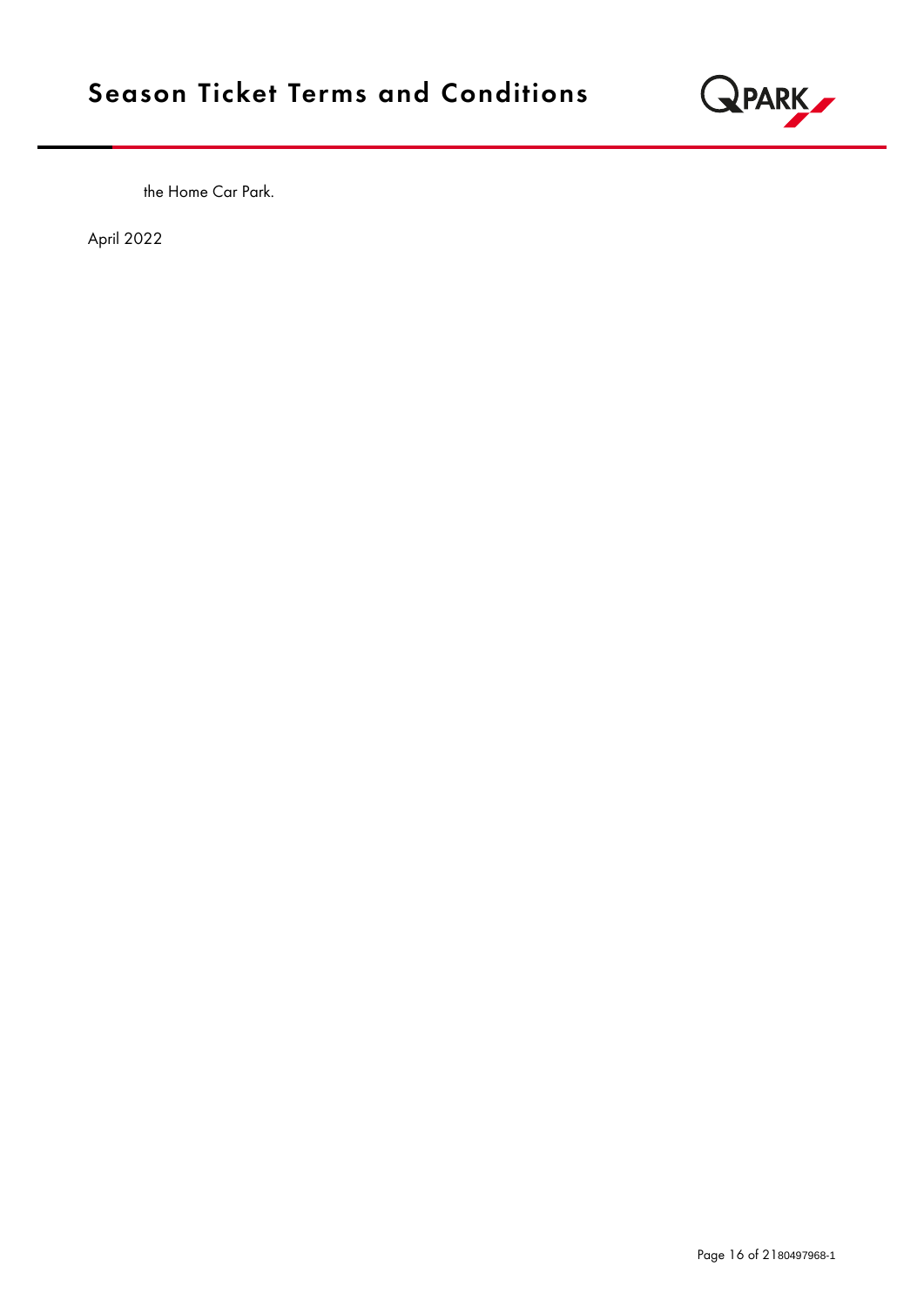

the Home Car Park.

April 2022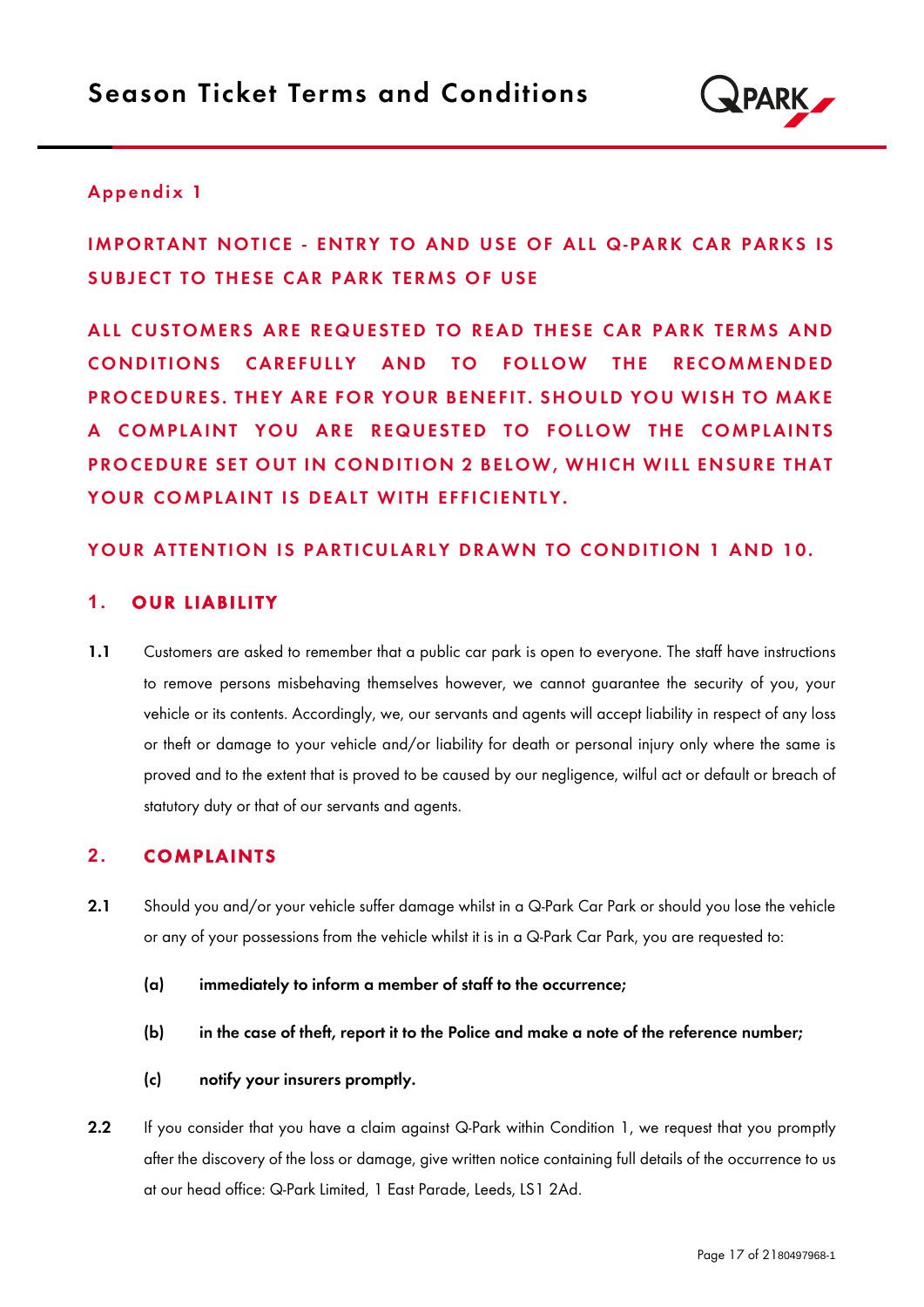

## Appendix 1

# IMPORTANT NOTICE - ENTRY TO AND USE OF ALL Q-PARK CAR PARKS IS SUBJECT TO THESE CAR PARK TERMS OF USE

ALL CUSTOMERS ARE REQUESTED TO READ THESE CAR PARK TERMS AND CONDITIONS CAREFULLY AND TO FOLLOW THE RECOMMENDED PROCEDURES. THEY ARE FOR YOUR BENEFIT. SHOULD YOU WISH TO MAKE A COMPLAINT YOU ARE REQUESTED TO FOLLOW THE COMPLAINTS PROCEDURE SET OUT IN CONDITION 2 BELOW, WHICH WILL ENSURE THAT YOUR COMPLAINT IS DEALT WITH EFFICIENTLY.

### YOUR ATTENTION IS PARTICULARLY DRAWN TO CONDITION 1 AND 10.

## **1. OUR LIABILITY**

1.1 Customers are asked to remember that a public car park is open to everyone. The staff have instructions to remove persons misbehaving themselves however, we cannot guarantee the security of you, your vehicle or its contents. Accordingly, we, our servants and agents will accept liability in respect of any loss or theft or damage to your vehicle and/or liability for death or personal injury only where the same is proved and to the extent that is proved to be caused by our negligence, wilful act or default or breach of statutory duty or that of our servants and agents.

## 2. **COMPLAINTS**

- 2.1 Should you and/or your vehicle suffer damage whilst in a Q-Park Car Park or should you lose the vehicle or any of your possessions from the vehicle whilst it is in a Q-Park Car Park, you are requested to:
	- (a) immediately to inform a member of staff to the occurrence;
	- (b) in the case of theft, report it to the Police and make a note of the reference number;
	- (c) notify your insurers promptly.
- 2.2 If you consider that you have a claim against Q-Park within Condition 1, we request that you promptly after the discovery of the loss or damage, give written notice containing full details of the occurrence to us at our head office: Q-Park Limited, 1 East Parade, Leeds, LS1 2Ad.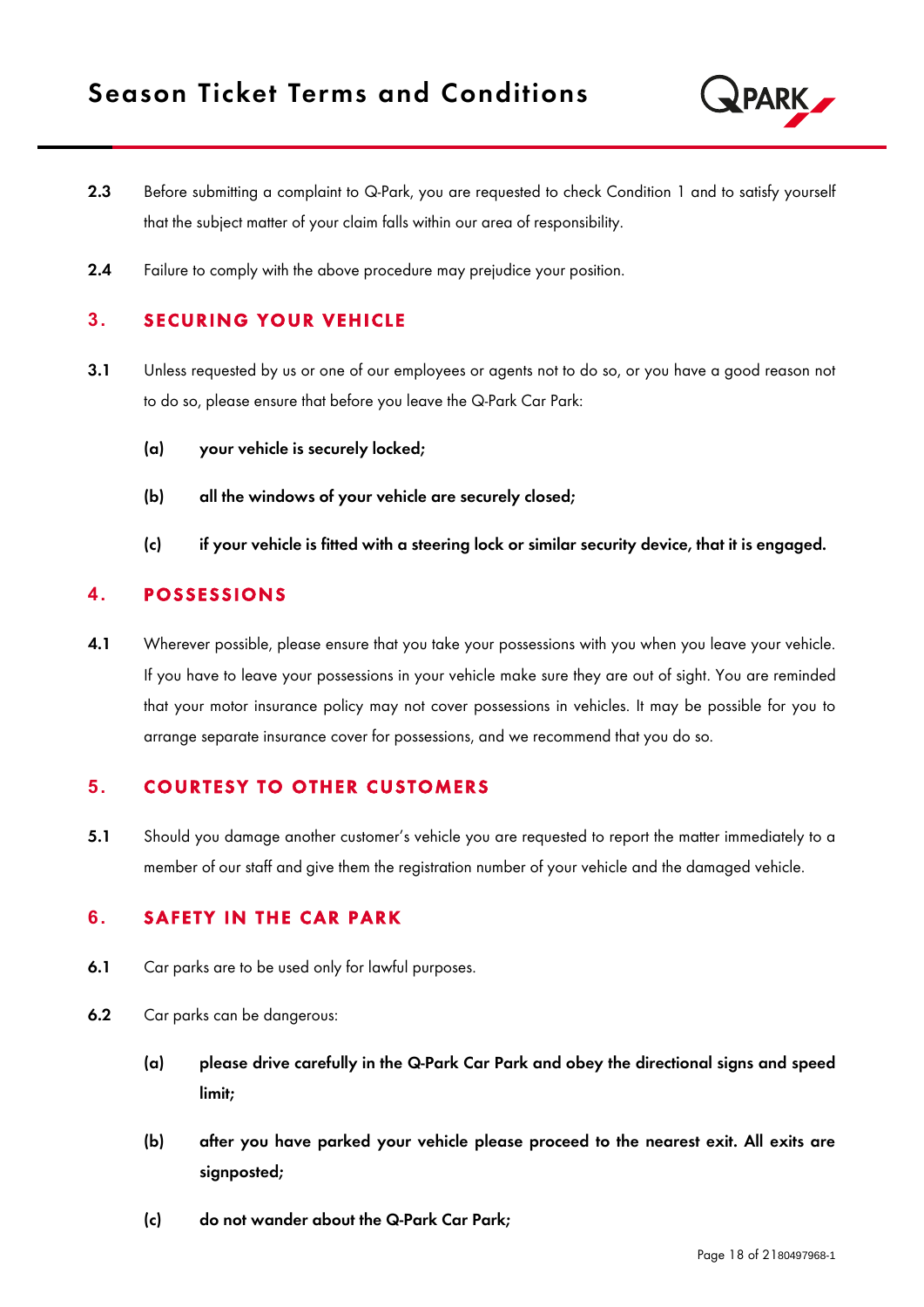

- 2.3 Before submitting a complaint to Q-Park, you are requested to check Condition 1 and to satisfy yourself that the subject matter of your claim falls within our area of responsibility.
- 2.4 Failure to comply with the above procedure may prejudice your position.

## **3. SECURING YOUR VEHICLE**

- 3.1 Unless requested by us or one of our employees or agents not to do so, or you have a good reason not to do so, please ensure that before you leave the Q-Park Car Park:
	- (a) your vehicle is securely locked;
	- (b) all the windows of your vehicle are securely closed;
	- (c) if your vehicle is fitted with a steering lock or similar security device, that it is engaged.

## **4. POSSESSIONS**

4.1 Wherever possible, please ensure that you take your possessions with you when you leave your vehicle. If you have to leave your possessions in your vehicle make sure they are out of sight. You are reminded that your motor insurance policy may not cover possessions in vehicles. It may be possible for you to arrange separate insurance cover for possessions, and we recommend that you do so.

## **5. COURTESY TO OTHER CUSTOMERS**

5.1 Should you damage another customer's vehicle you are requested to report the matter immediately to a member of our staff and give them the registration number of your vehicle and the damaged vehicle.

#### **6.** SAFETY IN THE CAR PARK

- 6.1 Car parks are to be used only for lawful purposes.
- 6.2 Car parks can be dangerous:
	- (a) please drive carefully in the Q-Park Car Park and obey the directional signs and speed limit;
	- (b) after you have parked your vehicle please proceed to the nearest exit. All exits are signposted;
	- (c) do not wander about the Q-Park Car Park;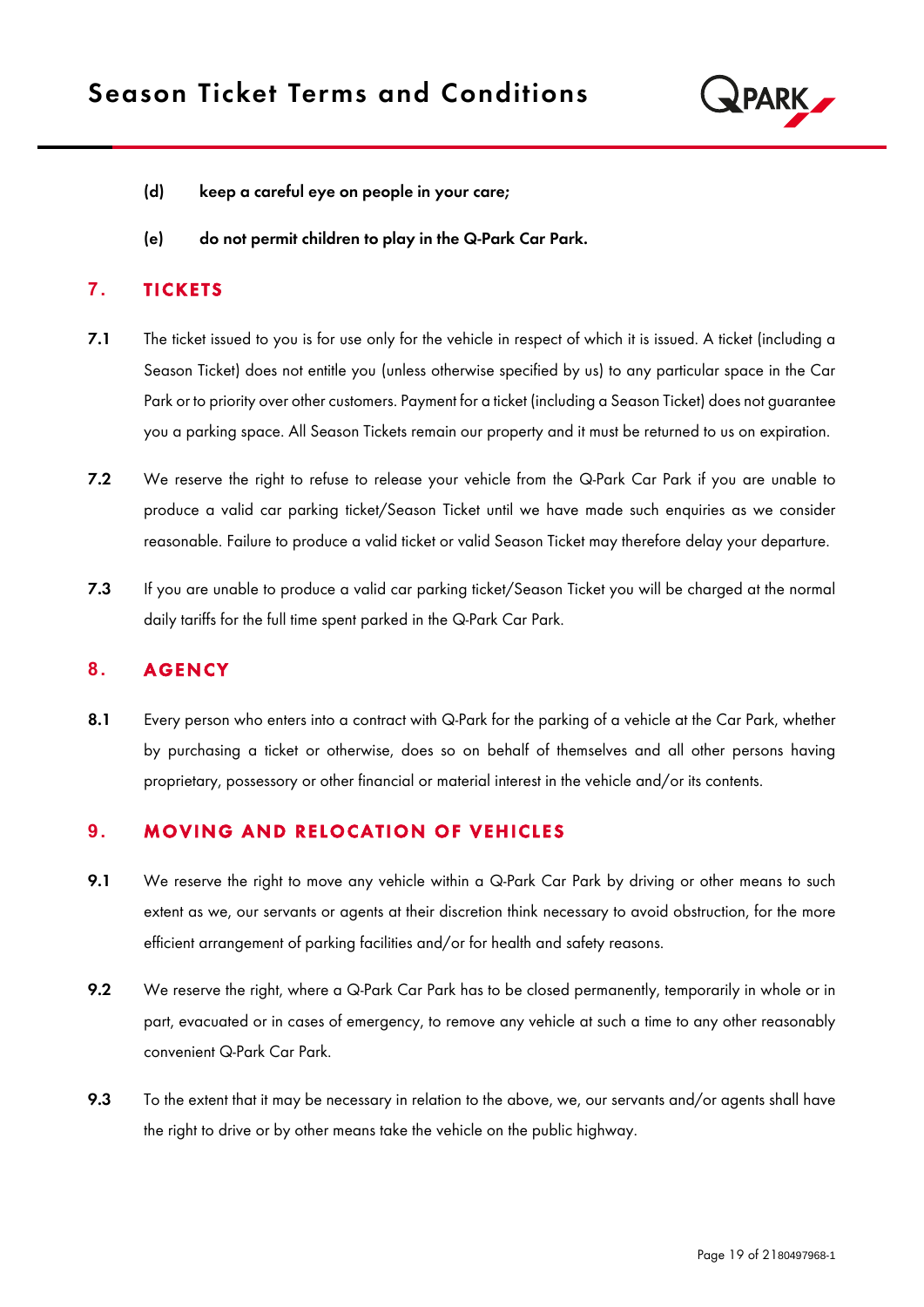

- (d) keep a careful eye on people in your care;
- (e) do not permit children to play in the Q-Park Car Park.

## **7.** TICKETS

- 7.1 The ticket issued to you is for use only for the vehicle in respect of which it is issued. A ticket (including a Season Ticket) does not entitle you (unless otherwise specified by us) to any particular space in the Car Park or to priority over other customers. Payment for a ticket (including a Season Ticket) does not guarantee you a parking space. All Season Tickets remain our property and it must be returned to us on expiration.
- 7.2 We reserve the right to refuse to release your vehicle from the Q-Park Car Park if you are unable to produce a valid car parking ticket/Season Ticket until we have made such enquiries as we consider reasonable. Failure to produce a valid ticket or valid Season Ticket may therefore delay your departure.
- 7.3 If you are unable to produce a valid car parking ticket/Season Ticket you will be charged at the normal daily tariffs for the full time spent parked in the Q-Park Car Park.

## 8. **AGENCY**

8.1 Every person who enters into a contract with Q-Park for the parking of a vehicle at the Car Park, whether by purchasing a ticket or otherwise, does so on behalf of themselves and all other persons having proprietary, possessory or other financial or material interest in the vehicle and/or its contents.

## **9. MOVING AND RELOCATION OF VEHICLES**

- 9.1 We reserve the right to move any vehicle within a Q-Park Car Park by driving or other means to such extent as we, our servants or agents at their discretion think necessary to avoid obstruction, for the more efficient arrangement of parking facilities and/or for health and safety reasons.
- 9.2 We reserve the right, where a Q-Park Car Park has to be closed permanently, temporarily in whole or in part, evacuated or in cases of emergency, to remove any vehicle at such a time to any other reasonably convenient Q-Park Car Park.
- 9.3 To the extent that it may be necessary in relation to the above, we, our servants and/or agents shall have the right to drive or by other means take the vehicle on the public highway.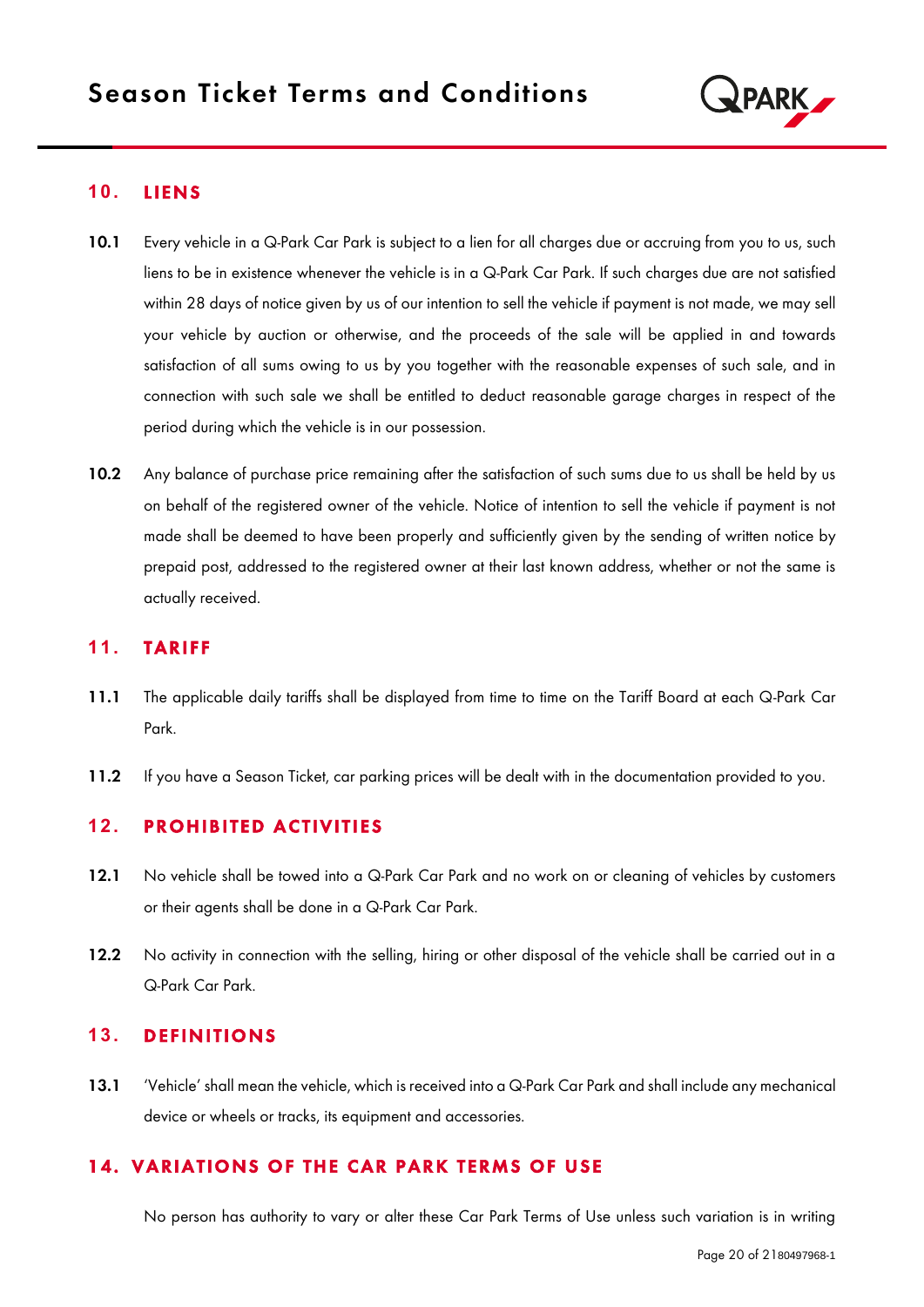

## **1 0.** L IEN S

- 10.1 Every vehicle in a Q-Park Car Park is subject to a lien for all charges due or accruing from you to us, such liens to be in existence whenever the vehicle is in a Q-Park Car Park. If such charges due are not satisfied within 28 days of notice given by us of our intention to sell the vehicle if payment is not made, we may sell your vehicle by auction or otherwise, and the proceeds of the sale will be applied in and towards satisfaction of all sums owing to us by you together with the reasonable expenses of such sale, and in connection with such sale we shall be entitled to deduct reasonable garage charges in respect of the period during which the vehicle is in our possession.
- 10.2 Any balance of purchase price remaining after the satisfaction of such sums due to us shall be held by us on behalf of the registered owner of the vehicle. Notice of intention to sell the vehicle if payment is not made shall be deemed to have been properly and sufficiently given by the sending of written notice by prepaid post, addressed to the registered owner at their last known address, whether or not the same is actually received.

## 11. **TARIFF**

- 11.1 The applicable daily tariffs shall be displayed from time to time on the Tariff Board at each Q-Park Car Park.
- 11.2 If you have a Season Ticket, car parking prices will be dealt with in the documentation provided to you.

# **12. PROHIBITED ACTIVITIES**

- 12.1 No vehicle shall be towed into a Q-Park Car Park and no work on or cleaning of vehicles by customers or their agents shall be done in a Q-Park Car Park.
- 12.2 No activity in connection with the selling, hiring or other disposal of the vehicle shall be carried out in a Q-Park Car Park.

## **13. DEFINITIONS**

13.1 'Vehicle' shall mean the vehicle, which is received into a Q-Park Car Park and shall include any mechanical device or wheels or tracks, its equipment and accessories.

# 14. VARIATIONS OF THE CAR PARK TERMS OF USE

No person has authority to vary or alter these Car Park Terms of Use unless such variation is in writing